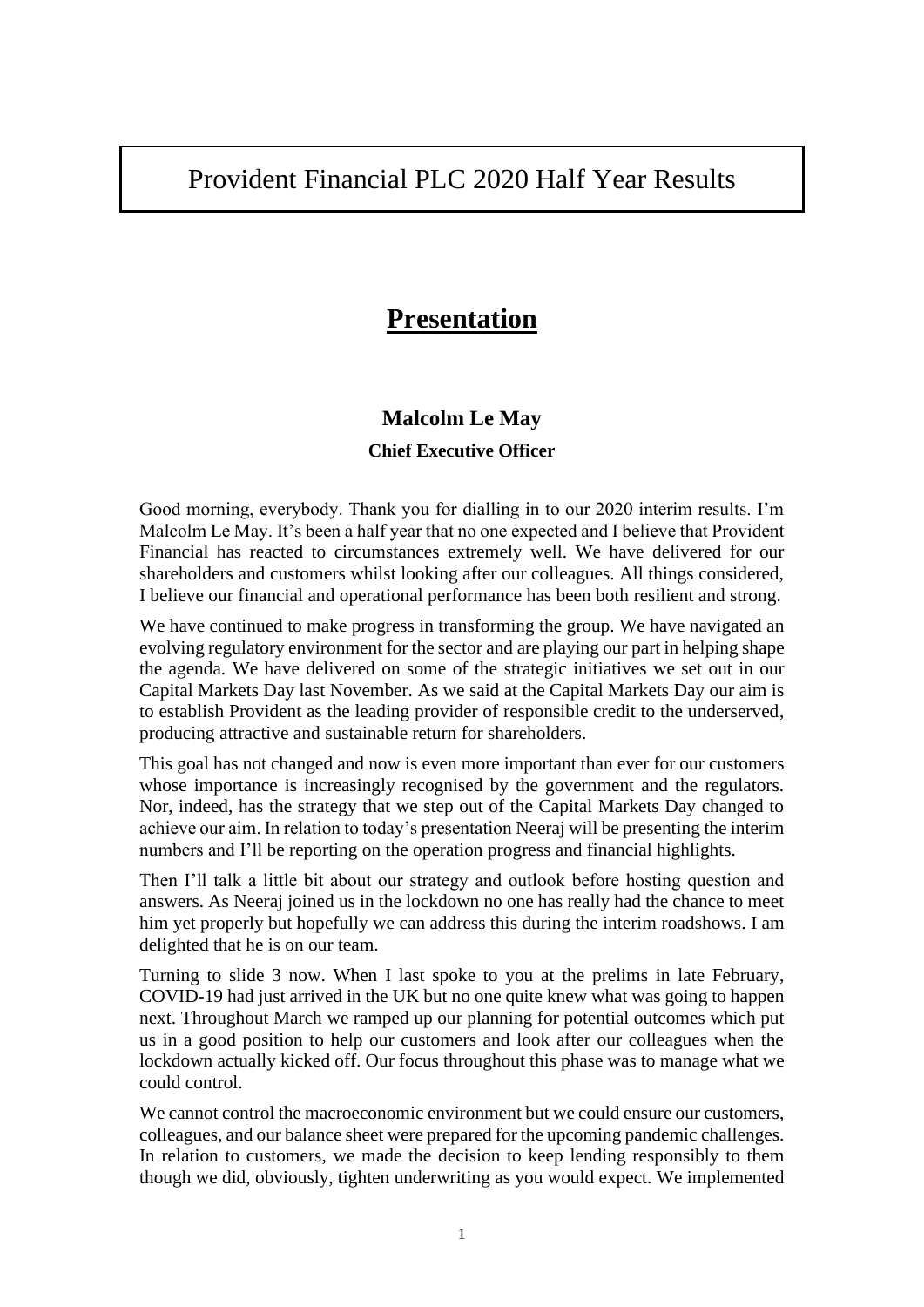# Provident Financial PLC 2020 Half Year Results

# **Presentation**

# **Malcolm Le May**

#### **Chief Executive Officer**

Good morning, everybody. Thank you for dialling in to our 2020 interim results. I'm Malcolm Le May. It's been a half year that no one expected and I believe that Provident Financial has reacted to circumstances extremely well. We have delivered for our shareholders and customers whilst looking after our colleagues. All things considered, I believe our financial and operational performance has been both resilient and strong.

We have continued to make progress in transforming the group. We have navigated an evolving regulatory environment for the sector and are playing our part in helping shape the agenda. We have delivered on some of the strategic initiatives we set out in our Capital Markets Day last November. As we said at the Capital Markets Day our aim is to establish Provident as the leading provider of responsible credit to the underserved, producing attractive and sustainable return for shareholders.

This goal has not changed and now is even more important than ever for our customers whose importance is increasingly recognised by the government and the regulators. Nor, indeed, has the strategy that we step out of the Capital Markets Day changed to achieve our aim. In relation to today's presentation Neeraj will be presenting the interim numbers and I'll be reporting on the operation progress and financial highlights.

Then I'll talk a little bit about our strategy and outlook before hosting question and answers. As Neeraj joined us in the lockdown no one has really had the chance to meet him yet properly but hopefully we can address this during the interim roadshows. I am delighted that he is on our team.

Turning to slide 3 now. When I last spoke to you at the prelims in late February, COVID-19 had just arrived in the UK but no one quite knew what was going to happen next. Throughout March we ramped up our planning for potential outcomes which put us in a good position to help our customers and look after our colleagues when the lockdown actually kicked off. Our focus throughout this phase was to manage what we could control.

We cannot control the macroeconomic environment but we could ensure our customers, colleagues, and our balance sheet were prepared for the upcoming pandemic challenges. In relation to customers, we made the decision to keep lending responsibly to them though we did, obviously, tighten underwriting as you would expect. We implemented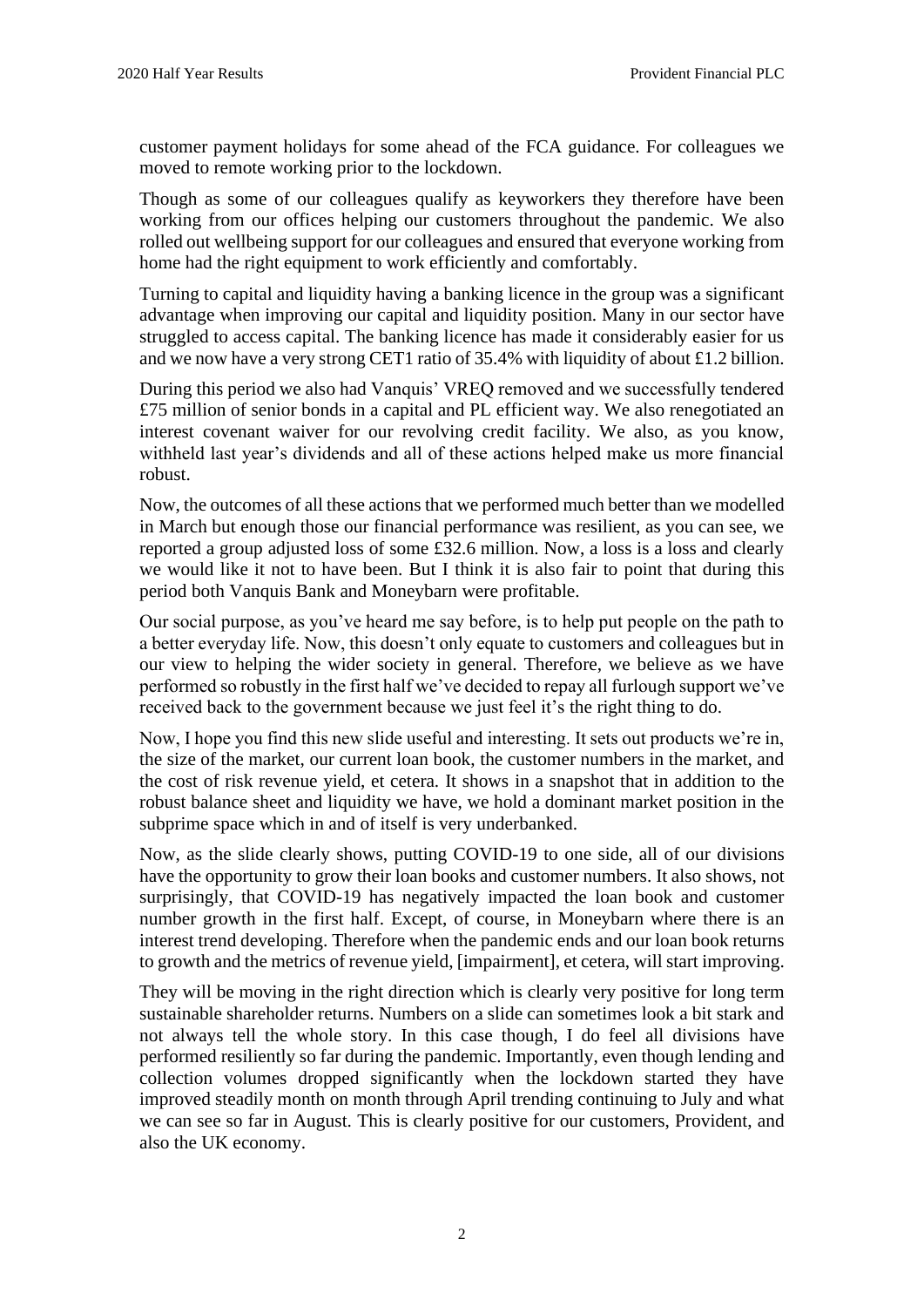customer payment holidays for some ahead of the FCA guidance. For colleagues we moved to remote working prior to the lockdown.

Though as some of our colleagues qualify as keyworkers they therefore have been working from our offices helping our customers throughout the pandemic. We also rolled out wellbeing support for our colleagues and ensured that everyone working from home had the right equipment to work efficiently and comfortably.

Turning to capital and liquidity having a banking licence in the group was a significant advantage when improving our capital and liquidity position. Many in our sector have struggled to access capital. The banking licence has made it considerably easier for us and we now have a very strong CET1 ratio of 35.4% with liquidity of about £1.2 billion.

During this period we also had Vanquis' VREQ removed and we successfully tendered £75 million of senior bonds in a capital and PL efficient way. We also renegotiated an interest covenant waiver for our revolving credit facility. We also, as you know, withheld last year's dividends and all of these actions helped make us more financial robust.

Now, the outcomes of all these actions that we performed much better than we modelled in March but enough those our financial performance was resilient, as you can see, we reported a group adjusted loss of some £32.6 million. Now, a loss is a loss and clearly we would like it not to have been. But I think it is also fair to point that during this period both Vanquis Bank and Moneybarn were profitable.

Our social purpose, as you've heard me say before, is to help put people on the path to a better everyday life. Now, this doesn't only equate to customers and colleagues but in our view to helping the wider society in general. Therefore, we believe as we have performed so robustly in the first half we've decided to repay all furlough support we've received back to the government because we just feel it's the right thing to do.

Now, I hope you find this new slide useful and interesting. It sets out products we're in, the size of the market, our current loan book, the customer numbers in the market, and the cost of risk revenue yield, et cetera. It shows in a snapshot that in addition to the robust balance sheet and liquidity we have, we hold a dominant market position in the subprime space which in and of itself is very underbanked.

Now, as the slide clearly shows, putting COVID-19 to one side, all of our divisions have the opportunity to grow their loan books and customer numbers. It also shows, not surprisingly, that COVID-19 has negatively impacted the loan book and customer number growth in the first half. Except, of course, in Moneybarn where there is an interest trend developing. Therefore when the pandemic ends and our loan book returns to growth and the metrics of revenue yield, [impairment], et cetera, will start improving.

They will be moving in the right direction which is clearly very positive for long term sustainable shareholder returns. Numbers on a slide can sometimes look a bit stark and not always tell the whole story. In this case though, I do feel all divisions have performed resiliently so far during the pandemic. Importantly, even though lending and collection volumes dropped significantly when the lockdown started they have improved steadily month on month through April trending continuing to July and what we can see so far in August. This is clearly positive for our customers, Provident, and also the UK economy.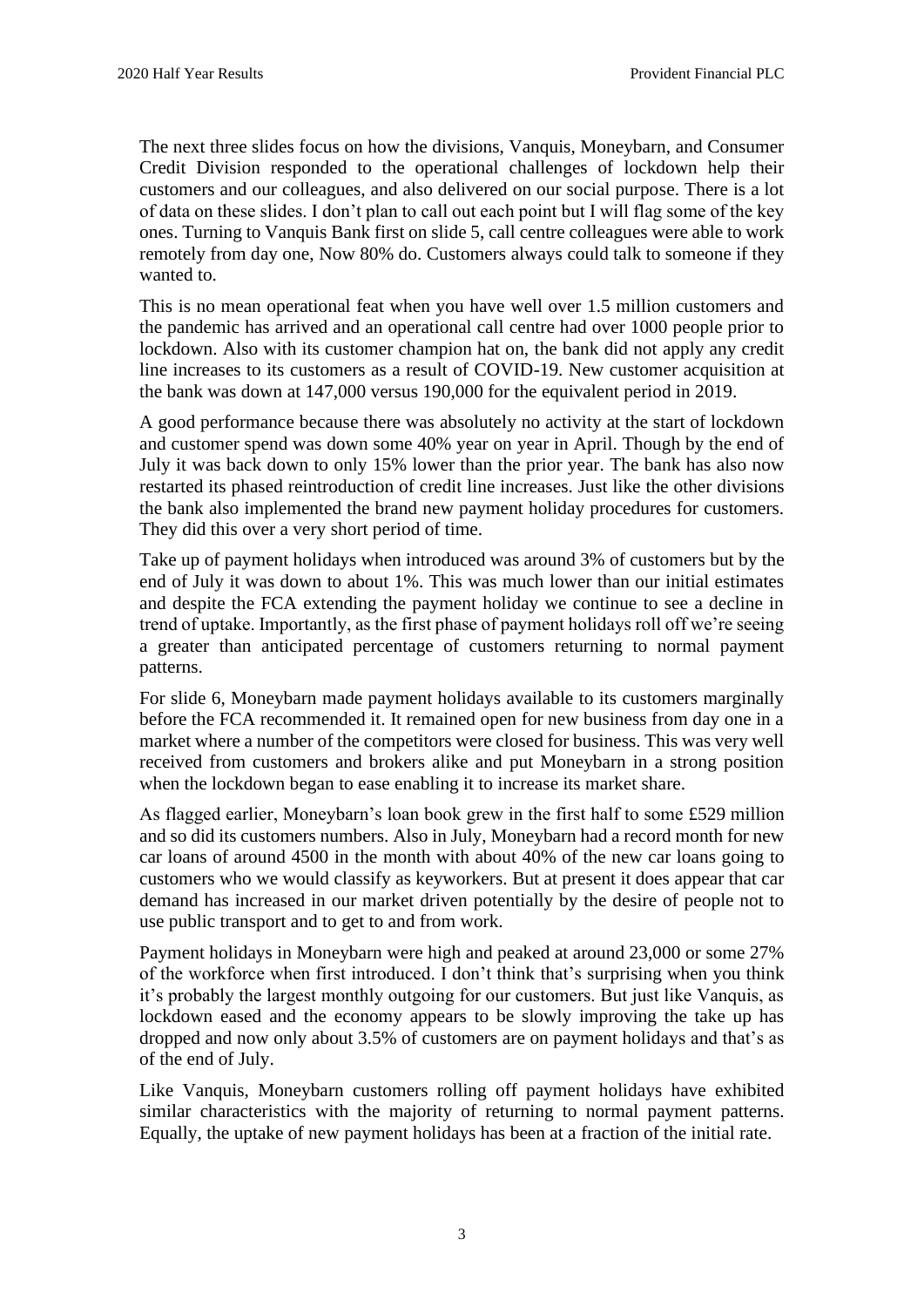The next three slides focus on how the divisions, Vanquis, Moneybarn, and Consumer Credit Division responded to the operational challenges of lockdown help their customers and our colleagues, and also delivered on our social purpose. There is a lot of data on these slides. I don't plan to call out each point but I will flag some of the key ones. Turning to Vanquis Bank first on slide 5, call centre colleagues were able to work remotely from day one, Now 80% do. Customers always could talk to someone if they wanted to.

This is no mean operational feat when you have well over 1.5 million customers and the pandemic has arrived and an operational call centre had over 1000 people prior to lockdown. Also with its customer champion hat on, the bank did not apply any credit line increases to its customers as a result of COVID-19. New customer acquisition at the bank was down at 147,000 versus 190,000 for the equivalent period in 2019.

A good performance because there was absolutely no activity at the start of lockdown and customer spend was down some 40% year on year in April. Though by the end of July it was back down to only 15% lower than the prior year. The bank has also now restarted its phased reintroduction of credit line increases. Just like the other divisions the bank also implemented the brand new payment holiday procedures for customers. They did this over a very short period of time.

Take up of payment holidays when introduced was around 3% of customers but by the end of July it was down to about 1%. This was much lower than our initial estimates and despite the FCA extending the payment holiday we continue to see a decline in trend of uptake. Importantly, as the first phase of payment holidays roll off we're seeing a greater than anticipated percentage of customers returning to normal payment patterns.

For slide 6, Moneybarn made payment holidays available to its customers marginally before the FCA recommended it. It remained open for new business from day one in a market where a number of the competitors were closed for business. This was very well received from customers and brokers alike and put Moneybarn in a strong position when the lockdown began to ease enabling it to increase its market share.

As flagged earlier, Moneybarn's loan book grew in the first half to some £529 million and so did its customers numbers. Also in July, Moneybarn had a record month for new car loans of around 4500 in the month with about 40% of the new car loans going to customers who we would classify as keyworkers. But at present it does appear that car demand has increased in our market driven potentially by the desire of people not to use public transport and to get to and from work.

Payment holidays in Moneybarn were high and peaked at around 23,000 or some 27% of the workforce when first introduced. I don't think that's surprising when you think it's probably the largest monthly outgoing for our customers. But just like Vanquis, as lockdown eased and the economy appears to be slowly improving the take up has dropped and now only about 3.5% of customers are on payment holidays and that's as of the end of July.

Like Vanquis, Moneybarn customers rolling off payment holidays have exhibited similar characteristics with the majority of returning to normal payment patterns. Equally, the uptake of new payment holidays has been at a fraction of the initial rate.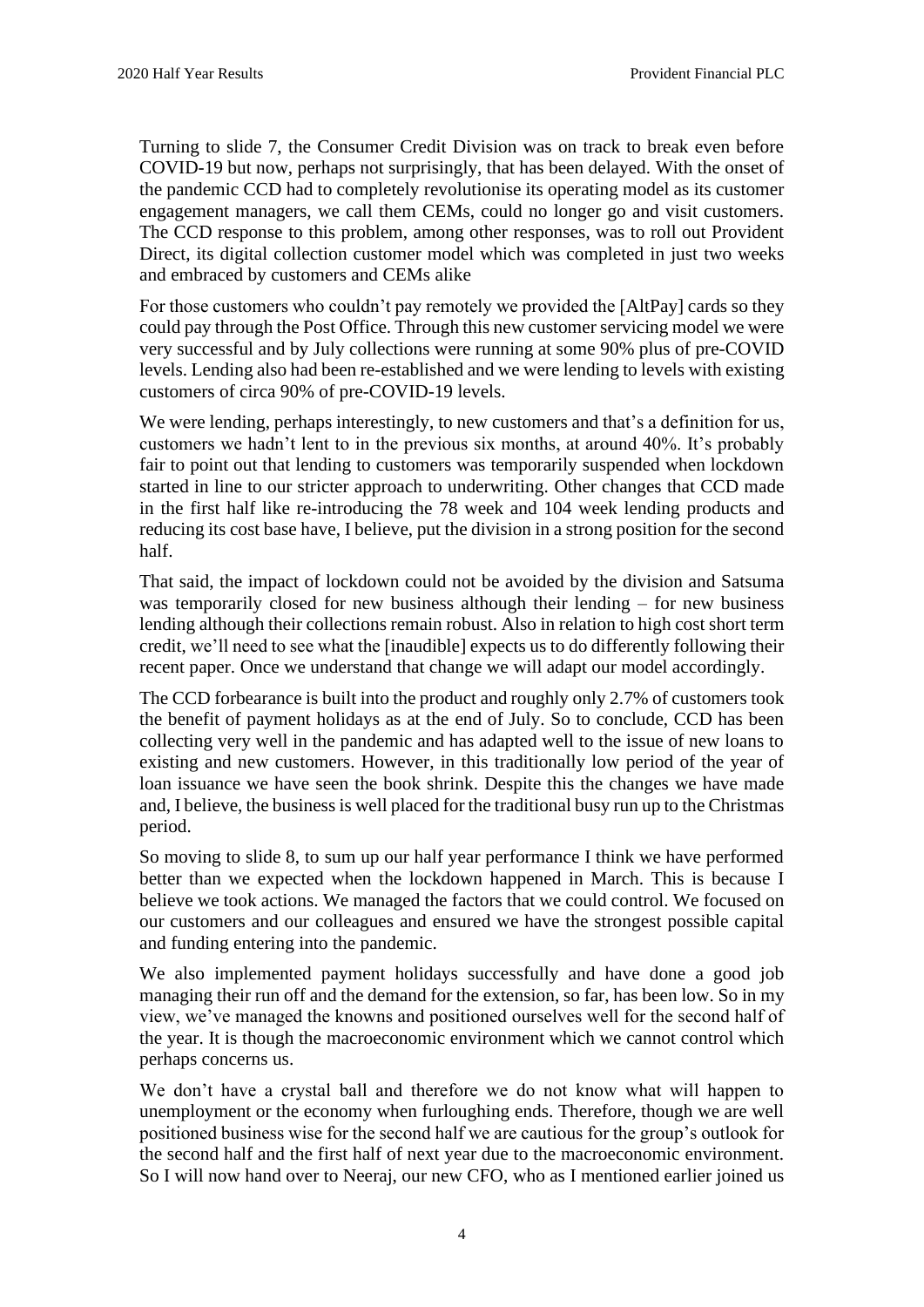Turning to slide 7, the Consumer Credit Division was on track to break even before COVID-19 but now, perhaps not surprisingly, that has been delayed. With the onset of the pandemic CCD had to completely revolutionise its operating model as its customer engagement managers, we call them CEMs, could no longer go and visit customers. The CCD response to this problem, among other responses, was to roll out Provident Direct, its digital collection customer model which was completed in just two weeks and embraced by customers and CEMs alike

For those customers who couldn't pay remotely we provided the [AltPay] cards so they could pay through the Post Office. Through this new customer servicing model we were very successful and by July collections were running at some 90% plus of pre-COVID levels. Lending also had been re-established and we were lending to levels with existing customers of circa 90% of pre-COVID-19 levels.

We were lending, perhaps interestingly, to new customers and that's a definition for us, customers we hadn't lent to in the previous six months, at around 40%. It's probably fair to point out that lending to customers was temporarily suspended when lockdown started in line to our stricter approach to underwriting. Other changes that CCD made in the first half like re-introducing the 78 week and 104 week lending products and reducing its cost base have, I believe, put the division in a strong position for the second half.

That said, the impact of lockdown could not be avoided by the division and Satsuma was temporarily closed for new business although their lending – for new business lending although their collections remain robust. Also in relation to high cost short term credit, we'll need to see what the [inaudible] expects us to do differently following their recent paper. Once we understand that change we will adapt our model accordingly.

The CCD forbearance is built into the product and roughly only 2.7% of customers took the benefit of payment holidays as at the end of July. So to conclude, CCD has been collecting very well in the pandemic and has adapted well to the issue of new loans to existing and new customers. However, in this traditionally low period of the year of loan issuance we have seen the book shrink. Despite this the changes we have made and, I believe, the business is well placed for the traditional busy run up to the Christmas period.

So moving to slide 8, to sum up our half year performance I think we have performed better than we expected when the lockdown happened in March. This is because I believe we took actions. We managed the factors that we could control. We focused on our customers and our colleagues and ensured we have the strongest possible capital and funding entering into the pandemic.

We also implemented payment holidays successfully and have done a good job managing their run off and the demand for the extension, so far, has been low. So in my view, we've managed the knowns and positioned ourselves well for the second half of the year. It is though the macroeconomic environment which we cannot control which perhaps concerns us.

We don't have a crystal ball and therefore we do not know what will happen to unemployment or the economy when furloughing ends. Therefore, though we are well positioned business wise for the second half we are cautious for the group's outlook for the second half and the first half of next year due to the macroeconomic environment. So I will now hand over to Neeraj, our new CFO, who as I mentioned earlier joined us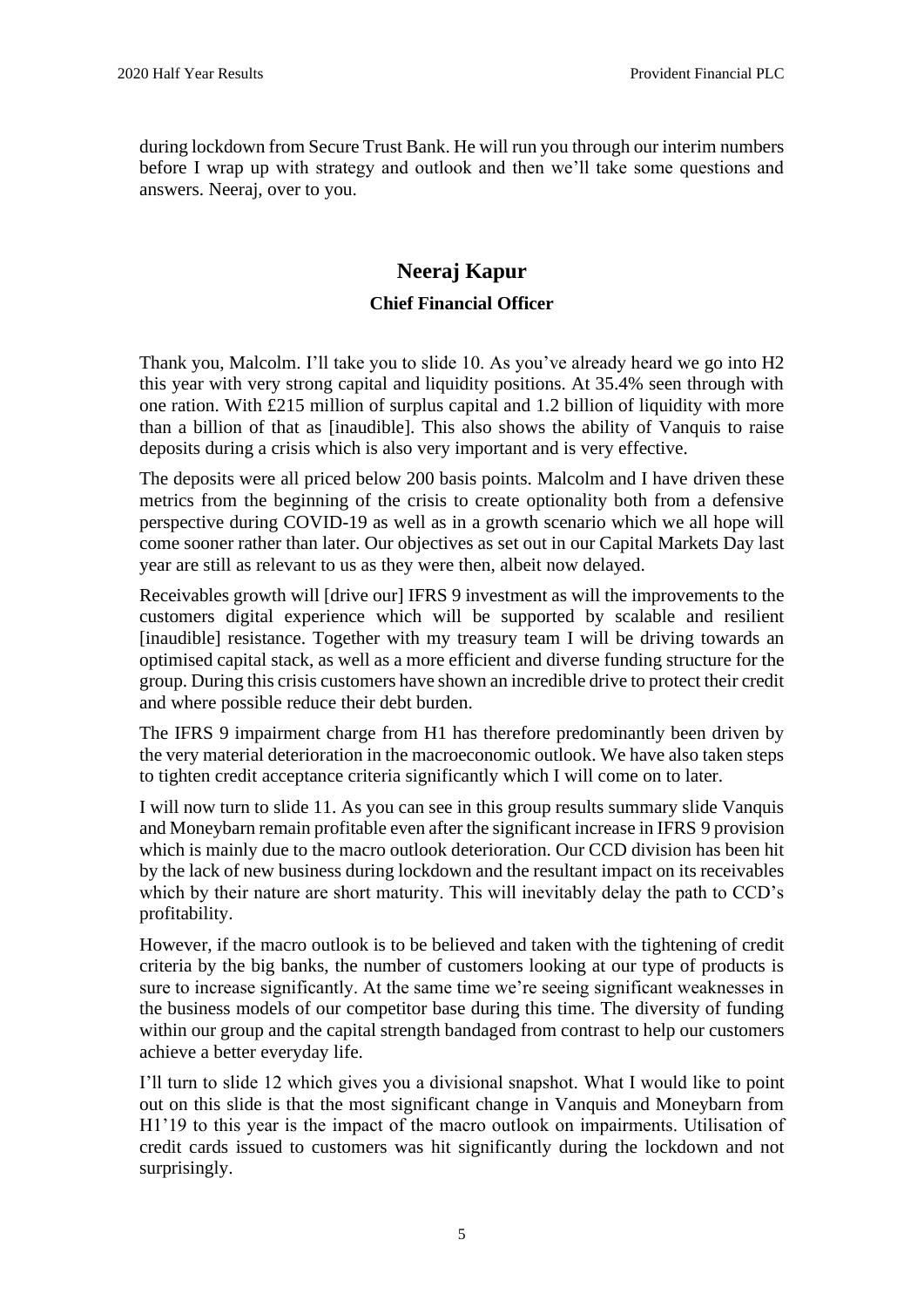during lockdown from Secure Trust Bank. He will run you through our interim numbers before I wrap up with strategy and outlook and then we'll take some questions and answers. Neeraj, over to you.

# **Neeraj Kapur Chief Financial Officer**

Thank you, Malcolm. I'll take you to slide 10. As you've already heard we go into H2 this year with very strong capital and liquidity positions. At 35.4% seen through with one ration. With £215 million of surplus capital and 1.2 billion of liquidity with more than a billion of that as [inaudible]. This also shows the ability of Vanquis to raise deposits during a crisis which is also very important and is very effective.

The deposits were all priced below 200 basis points. Malcolm and I have driven these metrics from the beginning of the crisis to create optionality both from a defensive perspective during COVID-19 as well as in a growth scenario which we all hope will come sooner rather than later. Our objectives as set out in our Capital Markets Day last year are still as relevant to us as they were then, albeit now delayed.

Receivables growth will [drive our] IFRS 9 investment as will the improvements to the customers digital experience which will be supported by scalable and resilient [inaudible] resistance. Together with my treasury team I will be driving towards an optimised capital stack, as well as a more efficient and diverse funding structure for the group. During this crisis customers have shown an incredible drive to protect their credit and where possible reduce their debt burden.

The IFRS 9 impairment charge from H1 has therefore predominantly been driven by the very material deterioration in the macroeconomic outlook. We have also taken steps to tighten credit acceptance criteria significantly which I will come on to later.

I will now turn to slide 11. As you can see in this group results summary slide Vanquis and Moneybarn remain profitable even after the significant increase in IFRS 9 provision which is mainly due to the macro outlook deterioration. Our CCD division has been hit by the lack of new business during lockdown and the resultant impact on its receivables which by their nature are short maturity. This will inevitably delay the path to CCD's profitability.

However, if the macro outlook is to be believed and taken with the tightening of credit criteria by the big banks, the number of customers looking at our type of products is sure to increase significantly. At the same time we're seeing significant weaknesses in the business models of our competitor base during this time. The diversity of funding within our group and the capital strength bandaged from contrast to help our customers achieve a better everyday life.

I'll turn to slide 12 which gives you a divisional snapshot. What I would like to point out on this slide is that the most significant change in Vanquis and Moneybarn from H1'19 to this year is the impact of the macro outlook on impairments. Utilisation of credit cards issued to customers was hit significantly during the lockdown and not surprisingly.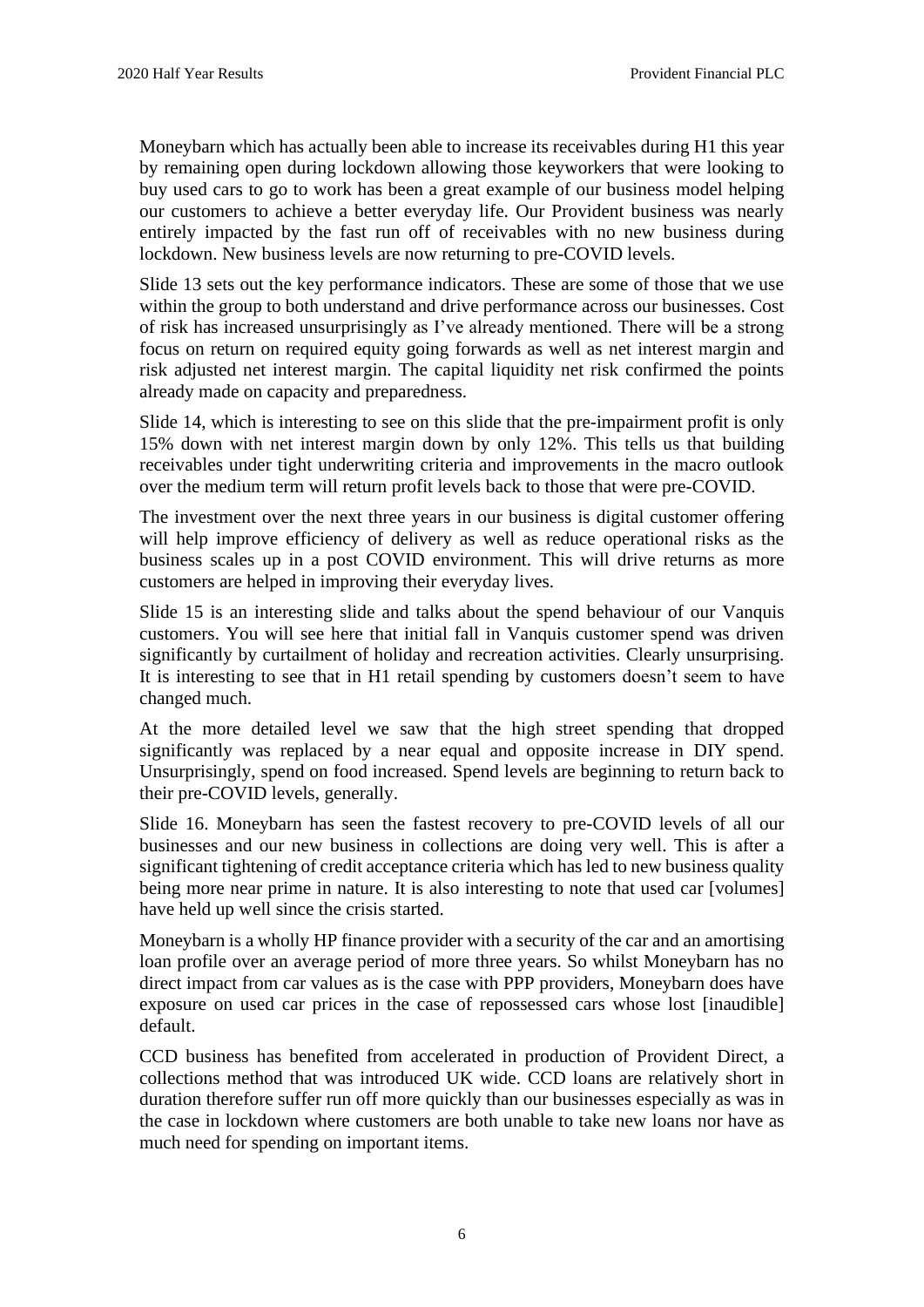Moneybarn which has actually been able to increase its receivables during H1 this year by remaining open during lockdown allowing those keyworkers that were looking to buy used cars to go to work has been a great example of our business model helping our customers to achieve a better everyday life. Our Provident business was nearly entirely impacted by the fast run off of receivables with no new business during lockdown. New business levels are now returning to pre-COVID levels.

Slide 13 sets out the key performance indicators. These are some of those that we use within the group to both understand and drive performance across our businesses. Cost of risk has increased unsurprisingly as I've already mentioned. There will be a strong focus on return on required equity going forwards as well as net interest margin and risk adjusted net interest margin. The capital liquidity net risk confirmed the points already made on capacity and preparedness.

Slide 14, which is interesting to see on this slide that the pre-impairment profit is only 15% down with net interest margin down by only 12%. This tells us that building receivables under tight underwriting criteria and improvements in the macro outlook over the medium term will return profit levels back to those that were pre-COVID.

The investment over the next three years in our business is digital customer offering will help improve efficiency of delivery as well as reduce operational risks as the business scales up in a post COVID environment. This will drive returns as more customers are helped in improving their everyday lives.

Slide 15 is an interesting slide and talks about the spend behaviour of our Vanquis customers. You will see here that initial fall in Vanquis customer spend was driven significantly by curtailment of holiday and recreation activities. Clearly unsurprising. It is interesting to see that in H1 retail spending by customers doesn't seem to have changed much.

At the more detailed level we saw that the high street spending that dropped significantly was replaced by a near equal and opposite increase in DIY spend. Unsurprisingly, spend on food increased. Spend levels are beginning to return back to their pre-COVID levels, generally.

Slide 16. Moneybarn has seen the fastest recovery to pre-COVID levels of all our businesses and our new business in collections are doing very well. This is after a significant tightening of credit acceptance criteria which has led to new business quality being more near prime in nature. It is also interesting to note that used car [volumes] have held up well since the crisis started.

Moneybarn is a wholly HP finance provider with a security of the car and an amortising loan profile over an average period of more three years. So whilst Moneybarn has no direct impact from car values as is the case with PPP providers, Moneybarn does have exposure on used car prices in the case of repossessed cars whose lost [inaudible] default.

CCD business has benefited from accelerated in production of Provident Direct, a collections method that was introduced UK wide. CCD loans are relatively short in duration therefore suffer run off more quickly than our businesses especially as was in the case in lockdown where customers are both unable to take new loans nor have as much need for spending on important items.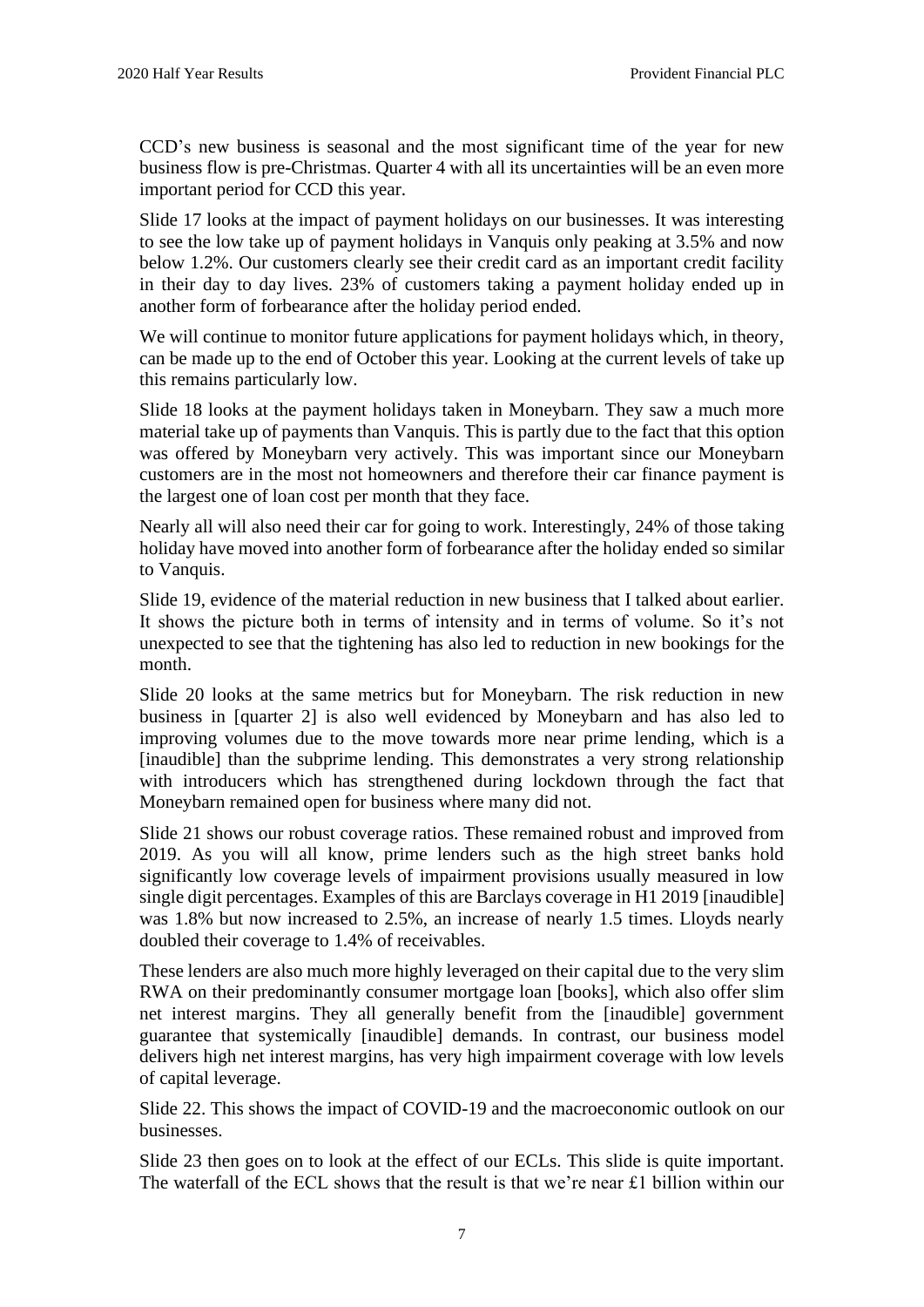CCD's new business is seasonal and the most significant time of the year for new business flow is pre-Christmas. Quarter 4 with all its uncertainties will be an even more important period for CCD this year.

Slide 17 looks at the impact of payment holidays on our businesses. It was interesting to see the low take up of payment holidays in Vanquis only peaking at 3.5% and now below 1.2%. Our customers clearly see their credit card as an important credit facility in their day to day lives. 23% of customers taking a payment holiday ended up in another form of forbearance after the holiday period ended.

We will continue to monitor future applications for payment holidays which, in theory, can be made up to the end of October this year. Looking at the current levels of take up this remains particularly low.

Slide 18 looks at the payment holidays taken in Moneybarn. They saw a much more material take up of payments than Vanquis. This is partly due to the fact that this option was offered by Moneybarn very actively. This was important since our Moneybarn customers are in the most not homeowners and therefore their car finance payment is the largest one of loan cost per month that they face.

Nearly all will also need their car for going to work. Interestingly, 24% of those taking holiday have moved into another form of forbearance after the holiday ended so similar to Vanquis.

Slide 19, evidence of the material reduction in new business that I talked about earlier. It shows the picture both in terms of intensity and in terms of volume. So it's not unexpected to see that the tightening has also led to reduction in new bookings for the month.

Slide 20 looks at the same metrics but for Moneybarn. The risk reduction in new business in [quarter 2] is also well evidenced by Moneybarn and has also led to improving volumes due to the move towards more near prime lending, which is a [inaudible] than the subprime lending. This demonstrates a very strong relationship with introducers which has strengthened during lockdown through the fact that Moneybarn remained open for business where many did not.

Slide 21 shows our robust coverage ratios. These remained robust and improved from 2019. As you will all know, prime lenders such as the high street banks hold significantly low coverage levels of impairment provisions usually measured in low single digit percentages. Examples of this are Barclays coverage in H1 2019 [inaudible] was 1.8% but now increased to 2.5%, an increase of nearly 1.5 times. Lloyds nearly doubled their coverage to 1.4% of receivables.

These lenders are also much more highly leveraged on their capital due to the very slim RWA on their predominantly consumer mortgage loan [books], which also offer slim net interest margins. They all generally benefit from the [inaudible] government guarantee that systemically [inaudible] demands. In contrast, our business model delivers high net interest margins, has very high impairment coverage with low levels of capital leverage.

Slide 22. This shows the impact of COVID-19 and the macroeconomic outlook on our businesses.

Slide 23 then goes on to look at the effect of our ECLs. This slide is quite important. The waterfall of the ECL shows that the result is that we're near £1 billion within our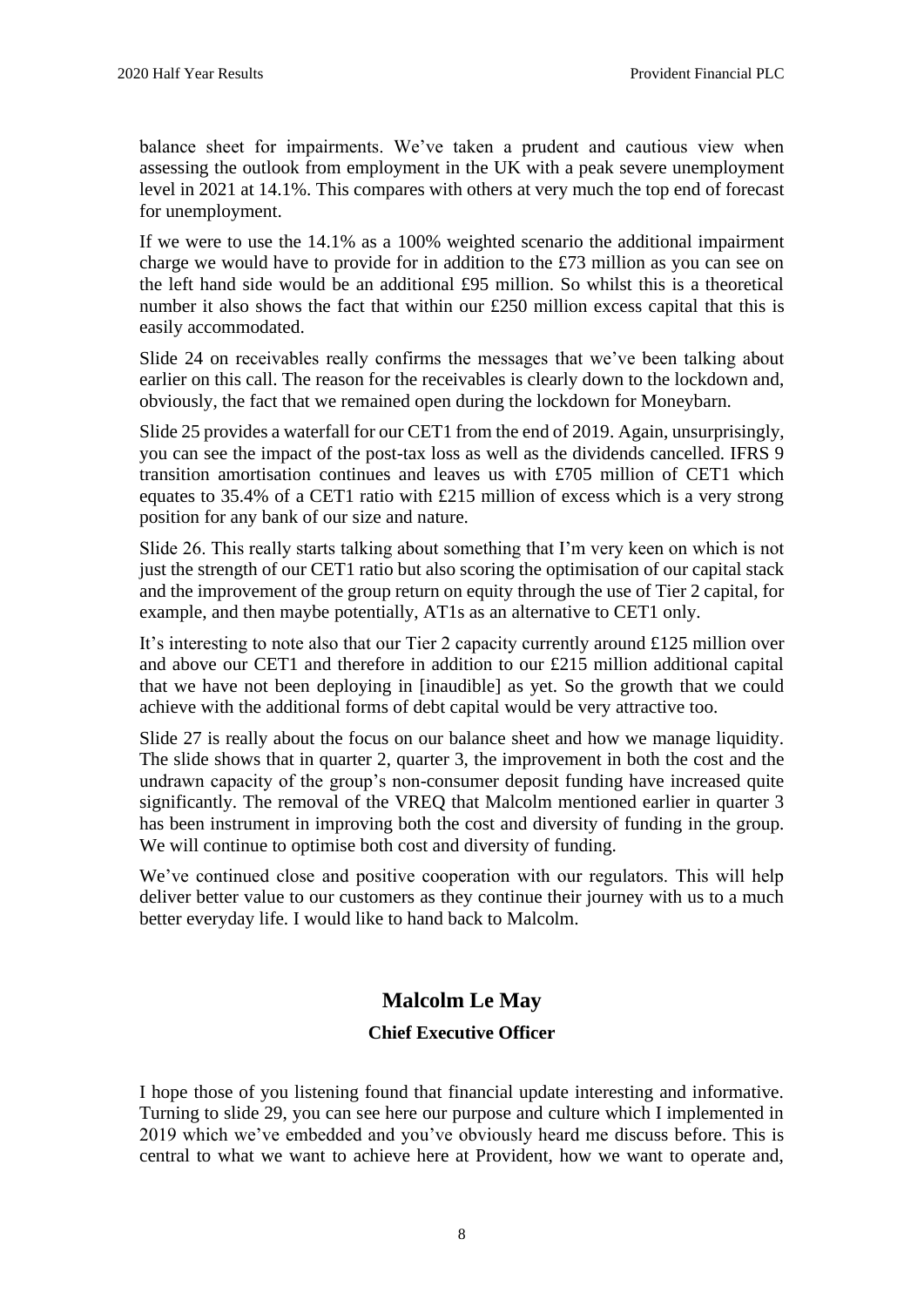balance sheet for impairments. We've taken a prudent and cautious view when assessing the outlook from employment in the UK with a peak severe unemployment level in 2021 at 14.1%. This compares with others at very much the top end of forecast for unemployment.

If we were to use the 14.1% as a 100% weighted scenario the additional impairment charge we would have to provide for in addition to the £73 million as you can see on the left hand side would be an additional £95 million. So whilst this is a theoretical number it also shows the fact that within our £250 million excess capital that this is easily accommodated.

Slide 24 on receivables really confirms the messages that we've been talking about earlier on this call. The reason for the receivables is clearly down to the lockdown and, obviously, the fact that we remained open during the lockdown for Moneybarn.

Slide 25 provides a waterfall for our CET1 from the end of 2019. Again, unsurprisingly, you can see the impact of the post-tax loss as well as the dividends cancelled. IFRS 9 transition amortisation continues and leaves us with £705 million of CET1 which equates to 35.4% of a CET1 ratio with £215 million of excess which is a very strong position for any bank of our size and nature.

Slide 26. This really starts talking about something that I'm very keen on which is not just the strength of our CET1 ratio but also scoring the optimisation of our capital stack and the improvement of the group return on equity through the use of Tier 2 capital, for example, and then maybe potentially, AT1s as an alternative to CET1 only.

It's interesting to note also that our Tier 2 capacity currently around £125 million over and above our CET1 and therefore in addition to our £215 million additional capital that we have not been deploying in [inaudible] as yet. So the growth that we could achieve with the additional forms of debt capital would be very attractive too.

Slide 27 is really about the focus on our balance sheet and how we manage liquidity. The slide shows that in quarter 2, quarter 3, the improvement in both the cost and the undrawn capacity of the group's non-consumer deposit funding have increased quite significantly. The removal of the VREQ that Malcolm mentioned earlier in quarter 3 has been instrument in improving both the cost and diversity of funding in the group. We will continue to optimise both cost and diversity of funding.

We've continued close and positive cooperation with our regulators. This will help deliver better value to our customers as they continue their journey with us to a much better everyday life. I would like to hand back to Malcolm.

# **Malcolm Le May**

# **Chief Executive Officer**

I hope those of you listening found that financial update interesting and informative. Turning to slide 29, you can see here our purpose and culture which I implemented in 2019 which we've embedded and you've obviously heard me discuss before. This is central to what we want to achieve here at Provident, how we want to operate and,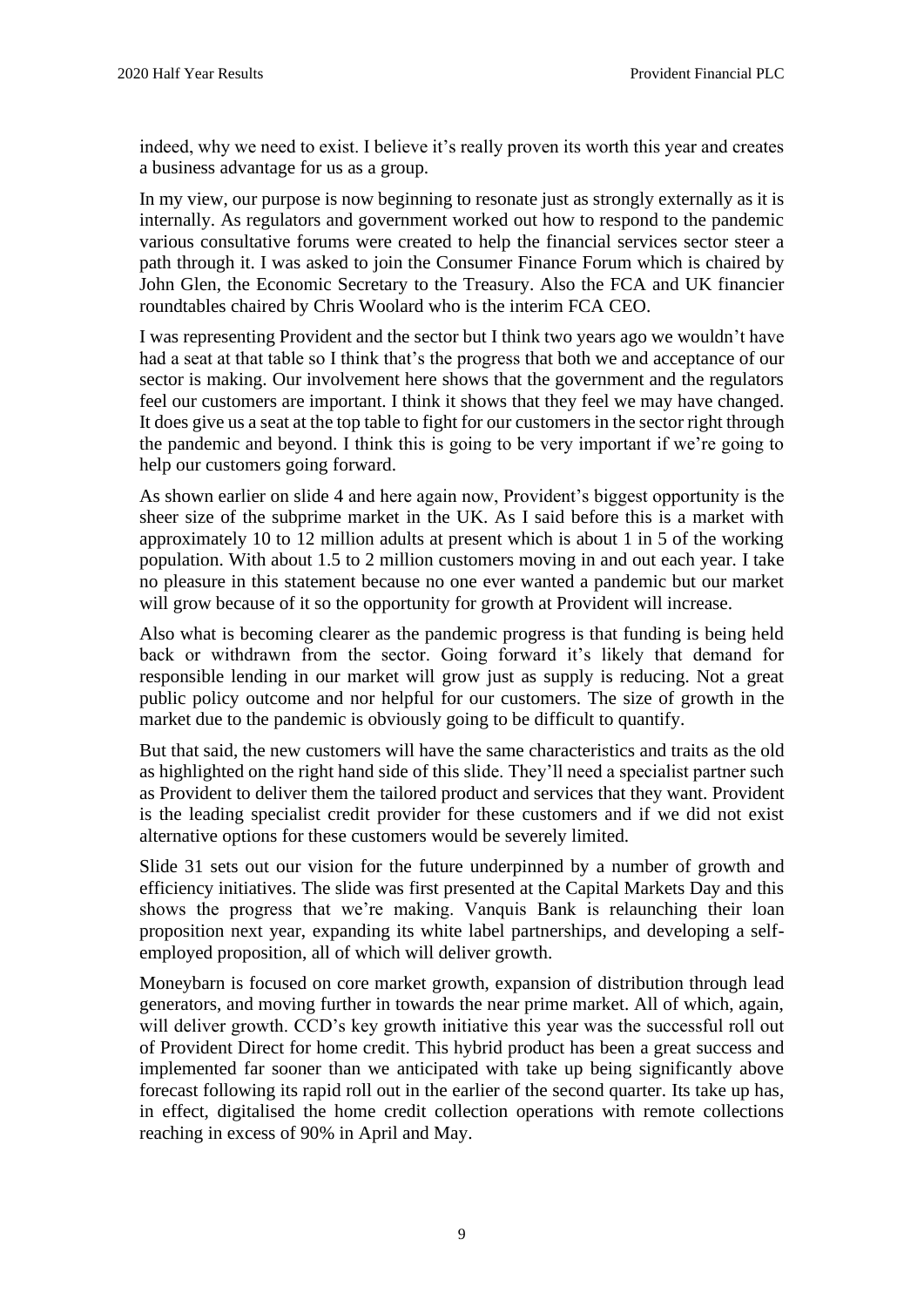indeed, why we need to exist. I believe it's really proven its worth this year and creates a business advantage for us as a group.

In my view, our purpose is now beginning to resonate just as strongly externally as it is internally. As regulators and government worked out how to respond to the pandemic various consultative forums were created to help the financial services sector steer a path through it. I was asked to join the Consumer Finance Forum which is chaired by John Glen, the Economic Secretary to the Treasury. Also the FCA and UK financier roundtables chaired by Chris Woolard who is the interim FCA CEO.

I was representing Provident and the sector but I think two years ago we wouldn't have had a seat at that table so I think that's the progress that both we and acceptance of our sector is making. Our involvement here shows that the government and the regulators feel our customers are important. I think it shows that they feel we may have changed. It does give us a seat at the top table to fight for our customers in the sector right through the pandemic and beyond. I think this is going to be very important if we're going to help our customers going forward.

As shown earlier on slide 4 and here again now, Provident's biggest opportunity is the sheer size of the subprime market in the UK. As I said before this is a market with approximately 10 to 12 million adults at present which is about 1 in 5 of the working population. With about 1.5 to 2 million customers moving in and out each year. I take no pleasure in this statement because no one ever wanted a pandemic but our market will grow because of it so the opportunity for growth at Provident will increase.

Also what is becoming clearer as the pandemic progress is that funding is being held back or withdrawn from the sector. Going forward it's likely that demand for responsible lending in our market will grow just as supply is reducing. Not a great public policy outcome and nor helpful for our customers. The size of growth in the market due to the pandemic is obviously going to be difficult to quantify.

But that said, the new customers will have the same characteristics and traits as the old as highlighted on the right hand side of this slide. They'll need a specialist partner such as Provident to deliver them the tailored product and services that they want. Provident is the leading specialist credit provider for these customers and if we did not exist alternative options for these customers would be severely limited.

Slide 31 sets out our vision for the future underpinned by a number of growth and efficiency initiatives. The slide was first presented at the Capital Markets Day and this shows the progress that we're making. Vanquis Bank is relaunching their loan proposition next year, expanding its white label partnerships, and developing a selfemployed proposition, all of which will deliver growth.

Moneybarn is focused on core market growth, expansion of distribution through lead generators, and moving further in towards the near prime market. All of which, again, will deliver growth. CCD's key growth initiative this year was the successful roll out of Provident Direct for home credit. This hybrid product has been a great success and implemented far sooner than we anticipated with take up being significantly above forecast following its rapid roll out in the earlier of the second quarter. Its take up has, in effect, digitalised the home credit collection operations with remote collections reaching in excess of 90% in April and May.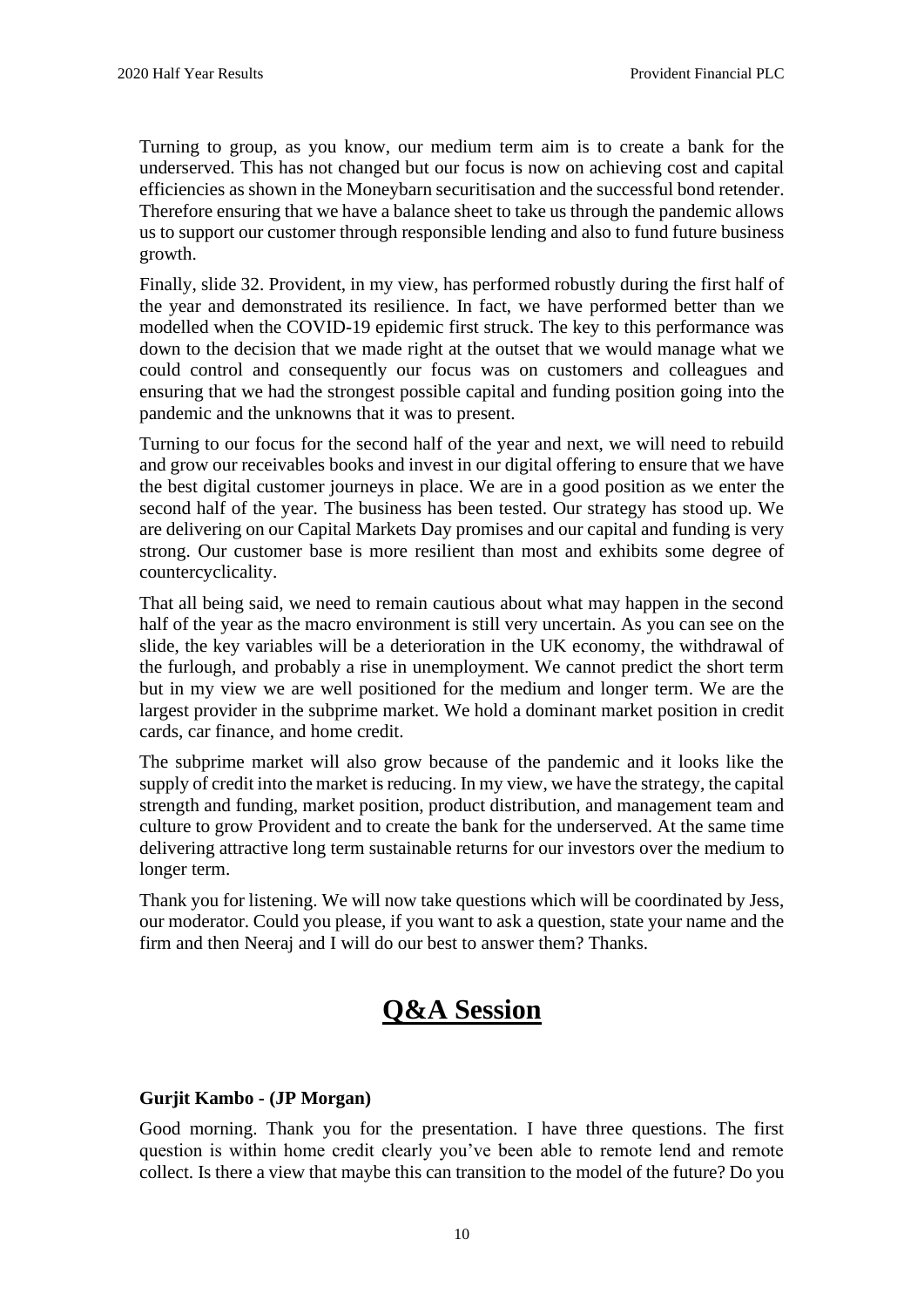Turning to group, as you know, our medium term aim is to create a bank for the underserved. This has not changed but our focus is now on achieving cost and capital efficiencies as shown in the Moneybarn securitisation and the successful bond retender. Therefore ensuring that we have a balance sheet to take us through the pandemic allows us to support our customer through responsible lending and also to fund future business growth.

Finally, slide 32. Provident, in my view, has performed robustly during the first half of the year and demonstrated its resilience. In fact, we have performed better than we modelled when the COVID-19 epidemic first struck. The key to this performance was down to the decision that we made right at the outset that we would manage what we could control and consequently our focus was on customers and colleagues and ensuring that we had the strongest possible capital and funding position going into the pandemic and the unknowns that it was to present.

Turning to our focus for the second half of the year and next, we will need to rebuild and grow our receivables books and invest in our digital offering to ensure that we have the best digital customer journeys in place. We are in a good position as we enter the second half of the year. The business has been tested. Our strategy has stood up. We are delivering on our Capital Markets Day promises and our capital and funding is very strong. Our customer base is more resilient than most and exhibits some degree of countercyclicality.

That all being said, we need to remain cautious about what may happen in the second half of the year as the macro environment is still very uncertain. As you can see on the slide, the key variables will be a deterioration in the UK economy, the withdrawal of the furlough, and probably a rise in unemployment. We cannot predict the short term but in my view we are well positioned for the medium and longer term. We are the largest provider in the subprime market. We hold a dominant market position in credit cards, car finance, and home credit.

The subprime market will also grow because of the pandemic and it looks like the supply of credit into the market is reducing. In my view, we have the strategy, the capital strength and funding, market position, product distribution, and management team and culture to grow Provident and to create the bank for the underserved. At the same time delivering attractive long term sustainable returns for our investors over the medium to longer term.

Thank you for listening. We will now take questions which will be coordinated by Jess, our moderator. Could you please, if you want to ask a question, state your name and the firm and then Neeraj and I will do our best to answer them? Thanks.

# **Q&A Session**

# **Gurjit Kambo - (JP Morgan)**

Good morning. Thank you for the presentation. I have three questions. The first question is within home credit clearly you've been able to remote lend and remote collect. Is there a view that maybe this can transition to the model of the future? Do you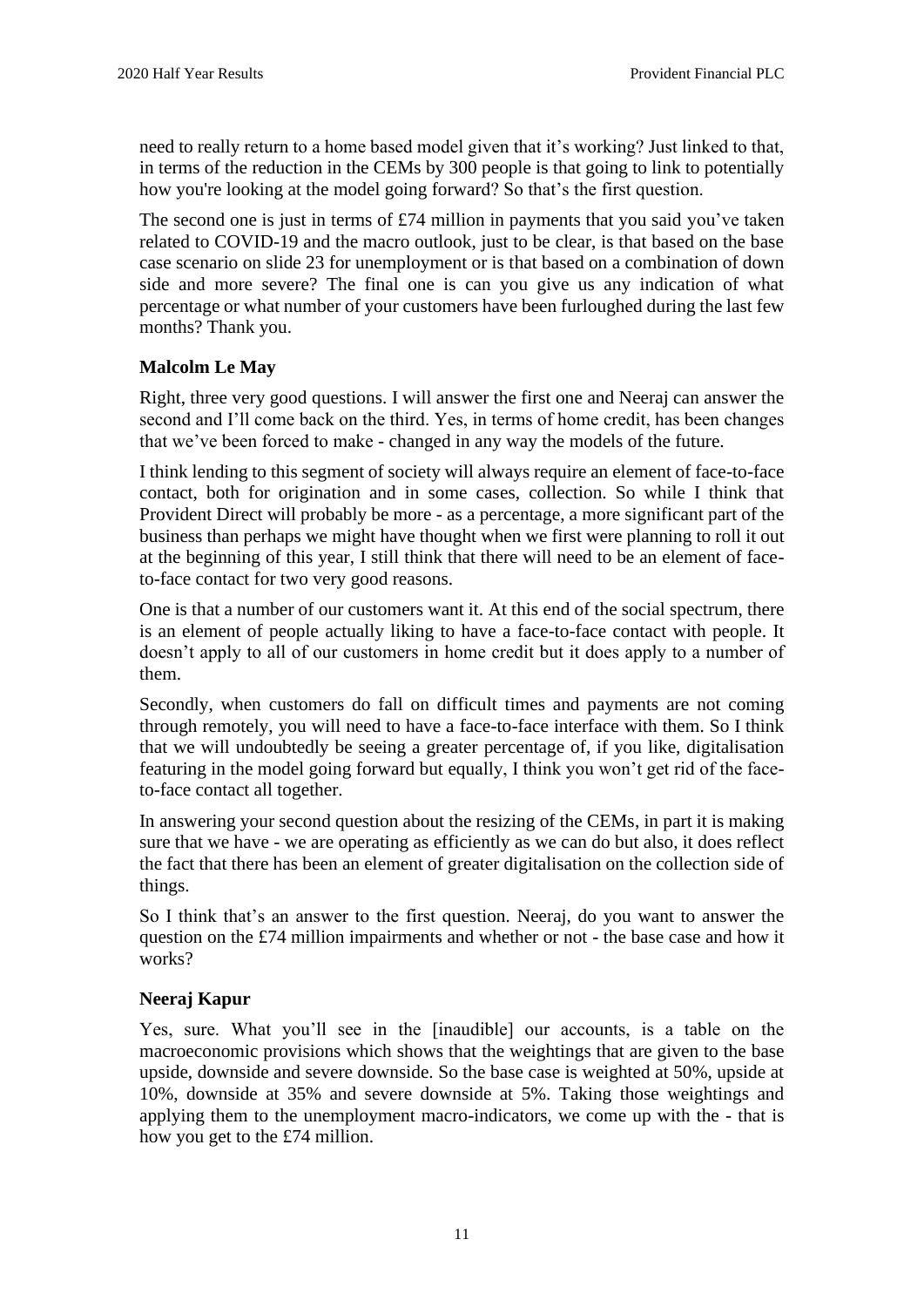need to really return to a home based model given that it's working? Just linked to that, in terms of the reduction in the CEMs by 300 people is that going to link to potentially how you're looking at the model going forward? So that's the first question.

The second one is just in terms of £74 million in payments that you said you've taken related to COVID-19 and the macro outlook, just to be clear, is that based on the base case scenario on slide 23 for unemployment or is that based on a combination of down side and more severe? The final one is can you give us any indication of what percentage or what number of your customers have been furloughed during the last few months? Thank you.

# **Malcolm Le May**

Right, three very good questions. I will answer the first one and Neeraj can answer the second and I'll come back on the third. Yes, in terms of home credit, has been changes that we've been forced to make - changed in any way the models of the future.

I think lending to this segment of society will always require an element of face-to-face contact, both for origination and in some cases, collection. So while I think that Provident Direct will probably be more - as a percentage, a more significant part of the business than perhaps we might have thought when we first were planning to roll it out at the beginning of this year, I still think that there will need to be an element of faceto-face contact for two very good reasons.

One is that a number of our customers want it. At this end of the social spectrum, there is an element of people actually liking to have a face-to-face contact with people. It doesn't apply to all of our customers in home credit but it does apply to a number of them.

Secondly, when customers do fall on difficult times and payments are not coming through remotely, you will need to have a face-to-face interface with them. So I think that we will undoubtedly be seeing a greater percentage of, if you like, digitalisation featuring in the model going forward but equally, I think you won't get rid of the faceto-face contact all together.

In answering your second question about the resizing of the CEMs, in part it is making sure that we have - we are operating as efficiently as we can do but also, it does reflect the fact that there has been an element of greater digitalisation on the collection side of things.

So I think that's an answer to the first question. Neeraj, do you want to answer the question on the £74 million impairments and whether or not - the base case and how it works?

#### **Neeraj Kapur**

Yes, sure. What you'll see in the [inaudible] our accounts, is a table on the macroeconomic provisions which shows that the weightings that are given to the base upside, downside and severe downside. So the base case is weighted at 50%, upside at 10%, downside at 35% and severe downside at 5%. Taking those weightings and applying them to the unemployment macro-indicators, we come up with the - that is how you get to the £74 million.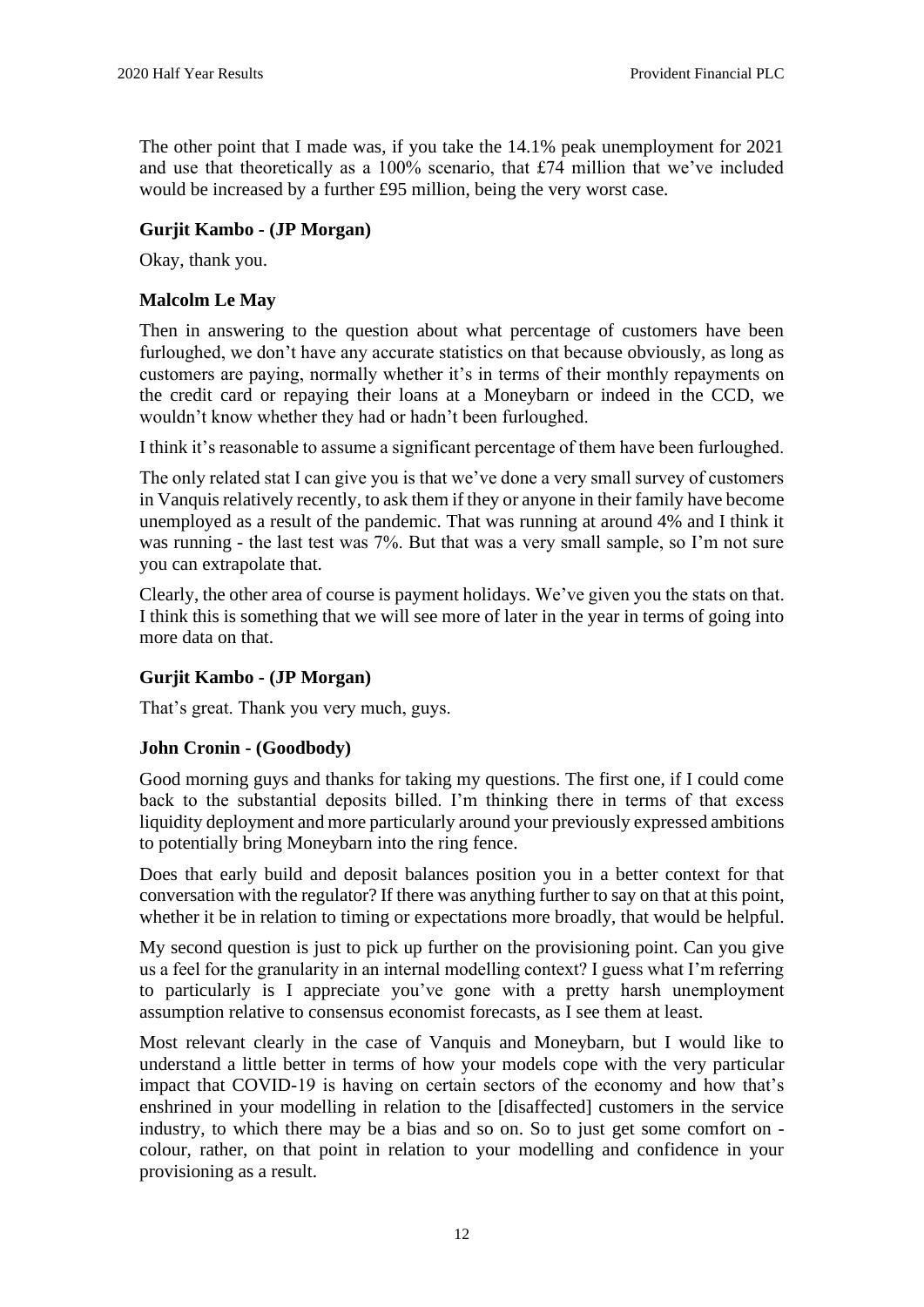The other point that I made was, if you take the 14.1% peak unemployment for 2021 and use that theoretically as a 100% scenario, that £74 million that we've included would be increased by a further £95 million, being the very worst case.

#### **Gurjit Kambo - (JP Morgan)**

Okay, thank you.

#### **Malcolm Le May**

Then in answering to the question about what percentage of customers have been furloughed, we don't have any accurate statistics on that because obviously, as long as customers are paying, normally whether it's in terms of their monthly repayments on the credit card or repaying their loans at a Moneybarn or indeed in the CCD, we wouldn't know whether they had or hadn't been furloughed.

I think it's reasonable to assume a significant percentage of them have been furloughed.

The only related stat I can give you is that we've done a very small survey of customers in Vanquis relatively recently, to ask them if they or anyone in their family have become unemployed as a result of the pandemic. That was running at around 4% and I think it was running - the last test was 7%. But that was a very small sample, so I'm not sure you can extrapolate that.

Clearly, the other area of course is payment holidays. We've given you the stats on that. I think this is something that we will see more of later in the year in terms of going into more data on that.

#### **Gurjit Kambo - (JP Morgan)**

That's great. Thank you very much, guys.

#### **John Cronin - (Goodbody)**

Good morning guys and thanks for taking my questions. The first one, if I could come back to the substantial deposits billed. I'm thinking there in terms of that excess liquidity deployment and more particularly around your previously expressed ambitions to potentially bring Moneybarn into the ring fence.

Does that early build and deposit balances position you in a better context for that conversation with the regulator? If there was anything further to say on that at this point, whether it be in relation to timing or expectations more broadly, that would be helpful.

My second question is just to pick up further on the provisioning point. Can you give us a feel for the granularity in an internal modelling context? I guess what I'm referring to particularly is I appreciate you've gone with a pretty harsh unemployment assumption relative to consensus economist forecasts, as I see them at least.

Most relevant clearly in the case of Vanquis and Moneybarn, but I would like to understand a little better in terms of how your models cope with the very particular impact that COVID-19 is having on certain sectors of the economy and how that's enshrined in your modelling in relation to the [disaffected] customers in the service industry, to which there may be a bias and so on. So to just get some comfort on colour, rather, on that point in relation to your modelling and confidence in your provisioning as a result.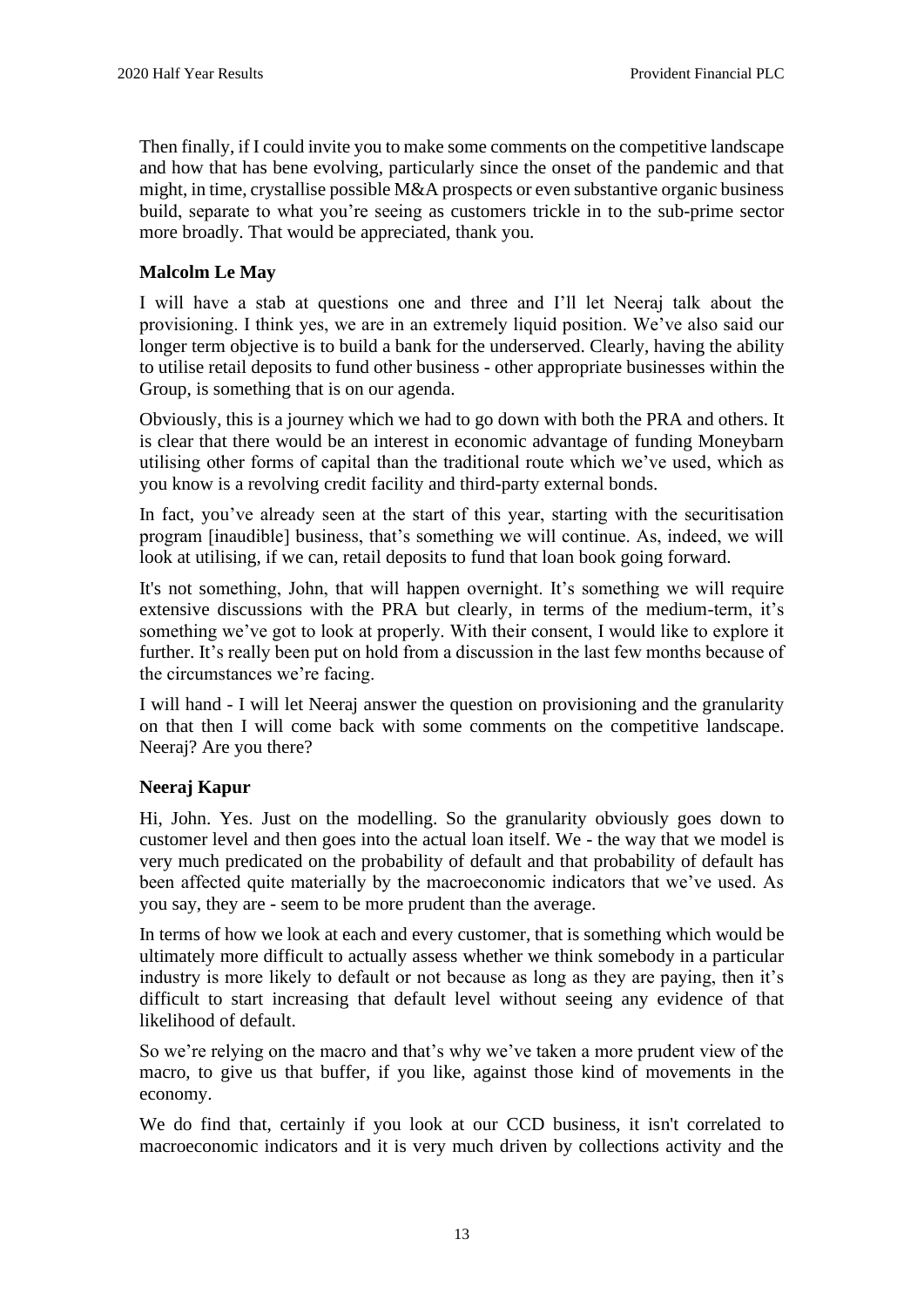Then finally, if I could invite you to make some comments on the competitive landscape and how that has bene evolving, particularly since the onset of the pandemic and that might, in time, crystallise possible M&A prospects or even substantive organic business build, separate to what you're seeing as customers trickle in to the sub-prime sector more broadly. That would be appreciated, thank you.

# **Malcolm Le May**

I will have a stab at questions one and three and I'll let Neeraj talk about the provisioning. I think yes, we are in an extremely liquid position. We've also said our longer term objective is to build a bank for the underserved. Clearly, having the ability to utilise retail deposits to fund other business - other appropriate businesses within the Group, is something that is on our agenda.

Obviously, this is a journey which we had to go down with both the PRA and others. It is clear that there would be an interest in economic advantage of funding Moneybarn utilising other forms of capital than the traditional route which we've used, which as you know is a revolving credit facility and third-party external bonds.

In fact, you've already seen at the start of this year, starting with the securitisation program [inaudible] business, that's something we will continue. As, indeed, we will look at utilising, if we can, retail deposits to fund that loan book going forward.

It's not something, John, that will happen overnight. It's something we will require extensive discussions with the PRA but clearly, in terms of the medium-term, it's something we've got to look at properly. With their consent, I would like to explore it further. It's really been put on hold from a discussion in the last few months because of the circumstances we're facing.

I will hand - I will let Neeraj answer the question on provisioning and the granularity on that then I will come back with some comments on the competitive landscape. Neeraj? Are you there?

#### **Neeraj Kapur**

Hi, John. Yes. Just on the modelling. So the granularity obviously goes down to customer level and then goes into the actual loan itself. We - the way that we model is very much predicated on the probability of default and that probability of default has been affected quite materially by the macroeconomic indicators that we've used. As you say, they are - seem to be more prudent than the average.

In terms of how we look at each and every customer, that is something which would be ultimately more difficult to actually assess whether we think somebody in a particular industry is more likely to default or not because as long as they are paying, then it's difficult to start increasing that default level without seeing any evidence of that likelihood of default.

So we're relying on the macro and that's why we've taken a more prudent view of the macro, to give us that buffer, if you like, against those kind of movements in the economy.

We do find that, certainly if you look at our CCD business, it isn't correlated to macroeconomic indicators and it is very much driven by collections activity and the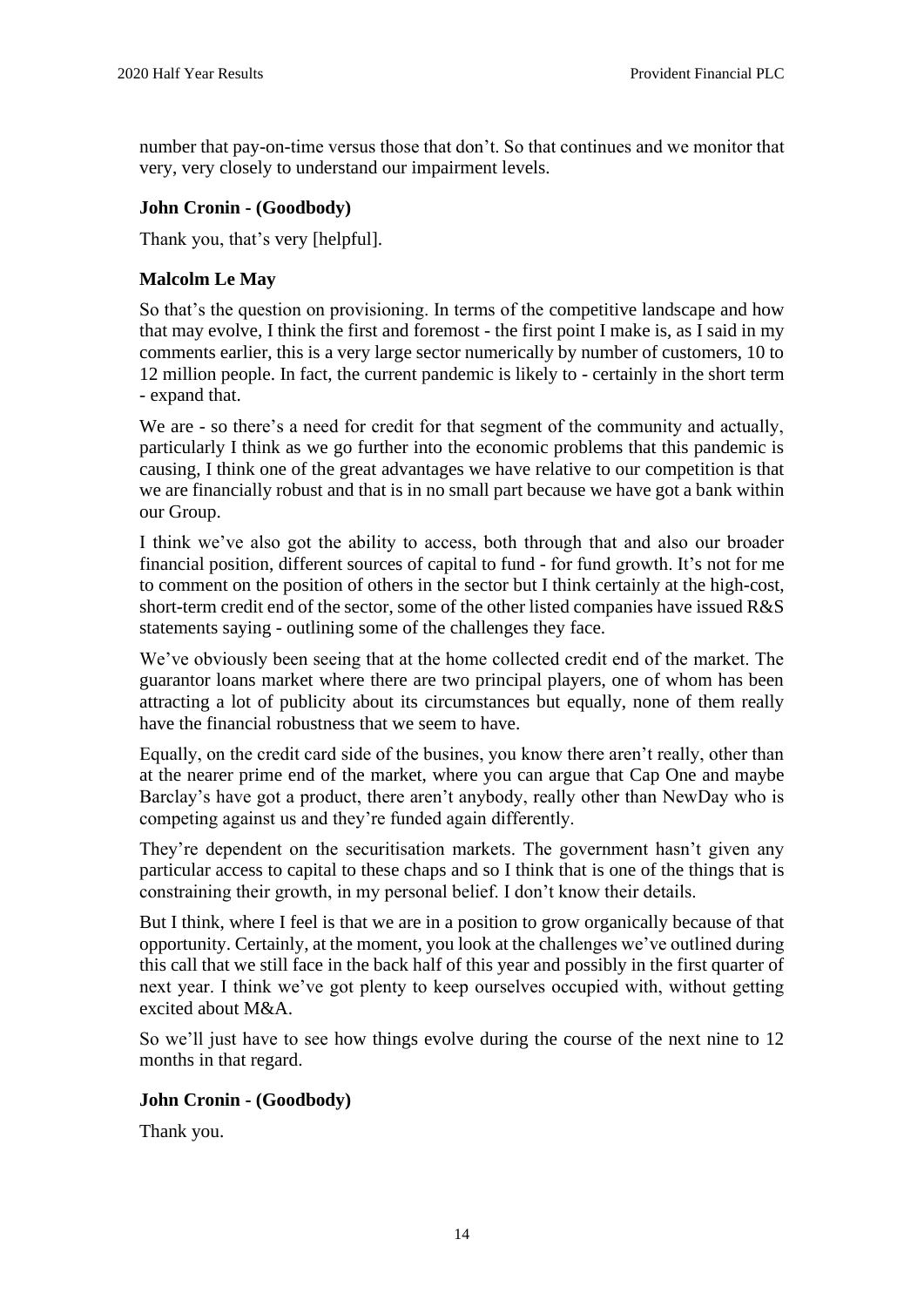number that pay-on-time versus those that don't. So that continues and we monitor that very, very closely to understand our impairment levels.

### **John Cronin - (Goodbody)**

Thank you, that's very [helpful].

### **Malcolm Le May**

So that's the question on provisioning. In terms of the competitive landscape and how that may evolve, I think the first and foremost - the first point I make is, as I said in my comments earlier, this is a very large sector numerically by number of customers, 10 to 12 million people. In fact, the current pandemic is likely to - certainly in the short term - expand that.

We are - so there's a need for credit for that segment of the community and actually, particularly I think as we go further into the economic problems that this pandemic is causing, I think one of the great advantages we have relative to our competition is that we are financially robust and that is in no small part because we have got a bank within our Group.

I think we've also got the ability to access, both through that and also our broader financial position, different sources of capital to fund - for fund growth. It's not for me to comment on the position of others in the sector but I think certainly at the high-cost, short-term credit end of the sector, some of the other listed companies have issued R&S statements saying - outlining some of the challenges they face.

We've obviously been seeing that at the home collected credit end of the market. The guarantor loans market where there are two principal players, one of whom has been attracting a lot of publicity about its circumstances but equally, none of them really have the financial robustness that we seem to have.

Equally, on the credit card side of the busines, you know there aren't really, other than at the nearer prime end of the market, where you can argue that Cap One and maybe Barclay's have got a product, there aren't anybody, really other than NewDay who is competing against us and they're funded again differently.

They're dependent on the securitisation markets. The government hasn't given any particular access to capital to these chaps and so I think that is one of the things that is constraining their growth, in my personal belief. I don't know their details.

But I think, where I feel is that we are in a position to grow organically because of that opportunity. Certainly, at the moment, you look at the challenges we've outlined during this call that we still face in the back half of this year and possibly in the first quarter of next year. I think we've got plenty to keep ourselves occupied with, without getting excited about M&A.

So we'll just have to see how things evolve during the course of the next nine to 12 months in that regard.

#### **John Cronin - (Goodbody)**

Thank you.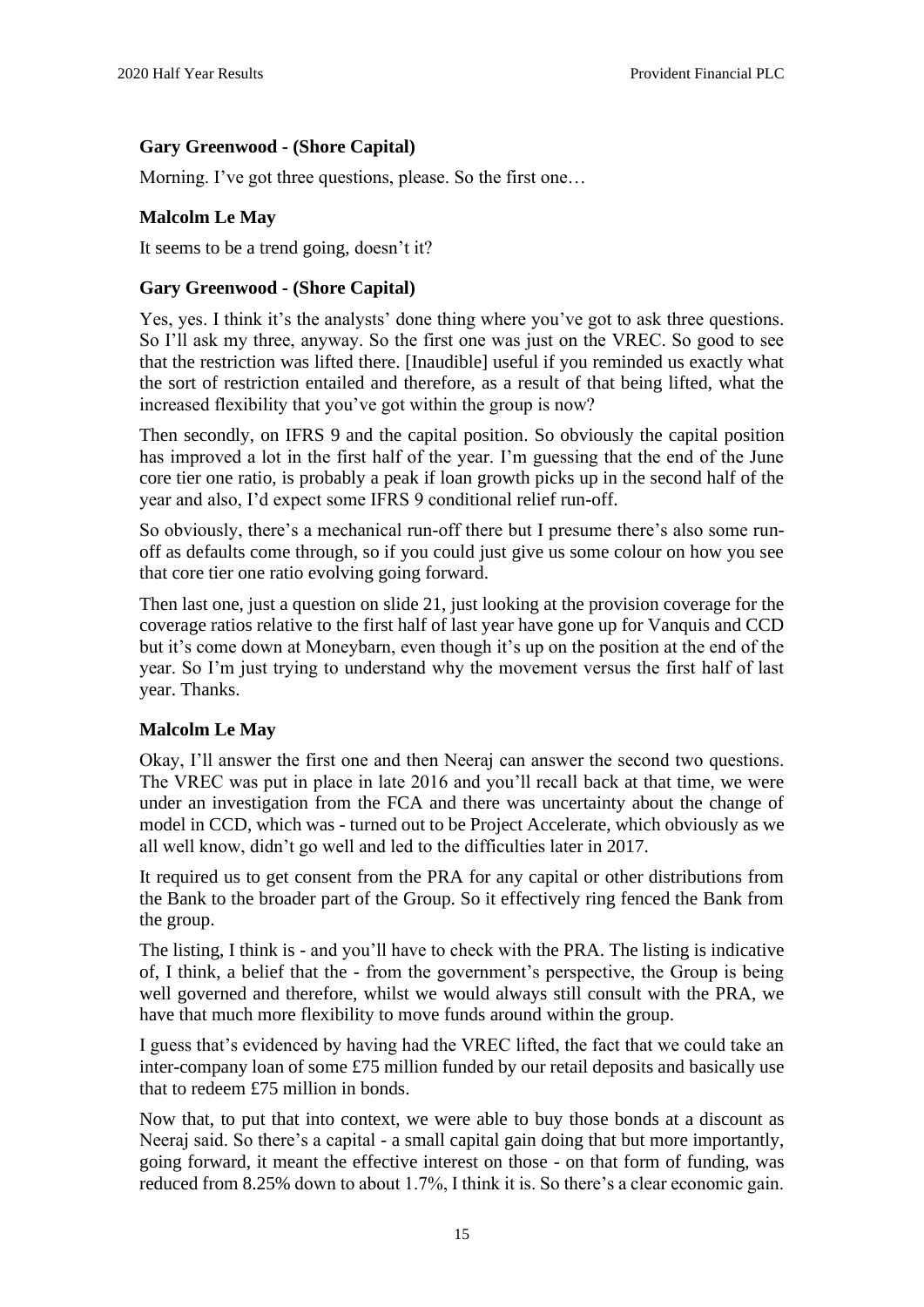### **Gary Greenwood - (Shore Capital)**

Morning. I've got three questions, please. So the first one…

### **Malcolm Le May**

It seems to be a trend going, doesn't it?

#### **Gary Greenwood - (Shore Capital)**

Yes, yes. I think it's the analysts' done thing where you've got to ask three questions. So I'll ask my three, anyway. So the first one was just on the VREC. So good to see that the restriction was lifted there. [Inaudible] useful if you reminded us exactly what the sort of restriction entailed and therefore, as a result of that being lifted, what the increased flexibility that you've got within the group is now?

Then secondly, on IFRS 9 and the capital position. So obviously the capital position has improved a lot in the first half of the year. I'm guessing that the end of the June core tier one ratio, is probably a peak if loan growth picks up in the second half of the year and also, I'd expect some IFRS 9 conditional relief run-off.

So obviously, there's a mechanical run-off there but I presume there's also some runoff as defaults come through, so if you could just give us some colour on how you see that core tier one ratio evolving going forward.

Then last one, just a question on slide 21, just looking at the provision coverage for the coverage ratios relative to the first half of last year have gone up for Vanquis and CCD but it's come down at Moneybarn, even though it's up on the position at the end of the year. So I'm just trying to understand why the movement versus the first half of last year. Thanks.

#### **Malcolm Le May**

Okay, I'll answer the first one and then Neeraj can answer the second two questions. The VREC was put in place in late 2016 and you'll recall back at that time, we were under an investigation from the FCA and there was uncertainty about the change of model in CCD, which was - turned out to be Project Accelerate, which obviously as we all well know, didn't go well and led to the difficulties later in 2017.

It required us to get consent from the PRA for any capital or other distributions from the Bank to the broader part of the Group. So it effectively ring fenced the Bank from the group.

The listing, I think is - and you'll have to check with the PRA. The listing is indicative of, I think, a belief that the - from the government's perspective, the Group is being well governed and therefore, whilst we would always still consult with the PRA, we have that much more flexibility to move funds around within the group.

I guess that's evidenced by having had the VREC lifted, the fact that we could take an inter-company loan of some £75 million funded by our retail deposits and basically use that to redeem £75 million in bonds.

Now that, to put that into context, we were able to buy those bonds at a discount as Neeraj said. So there's a capital - a small capital gain doing that but more importantly, going forward, it meant the effective interest on those - on that form of funding, was reduced from 8.25% down to about 1.7%, I think it is. So there's a clear economic gain.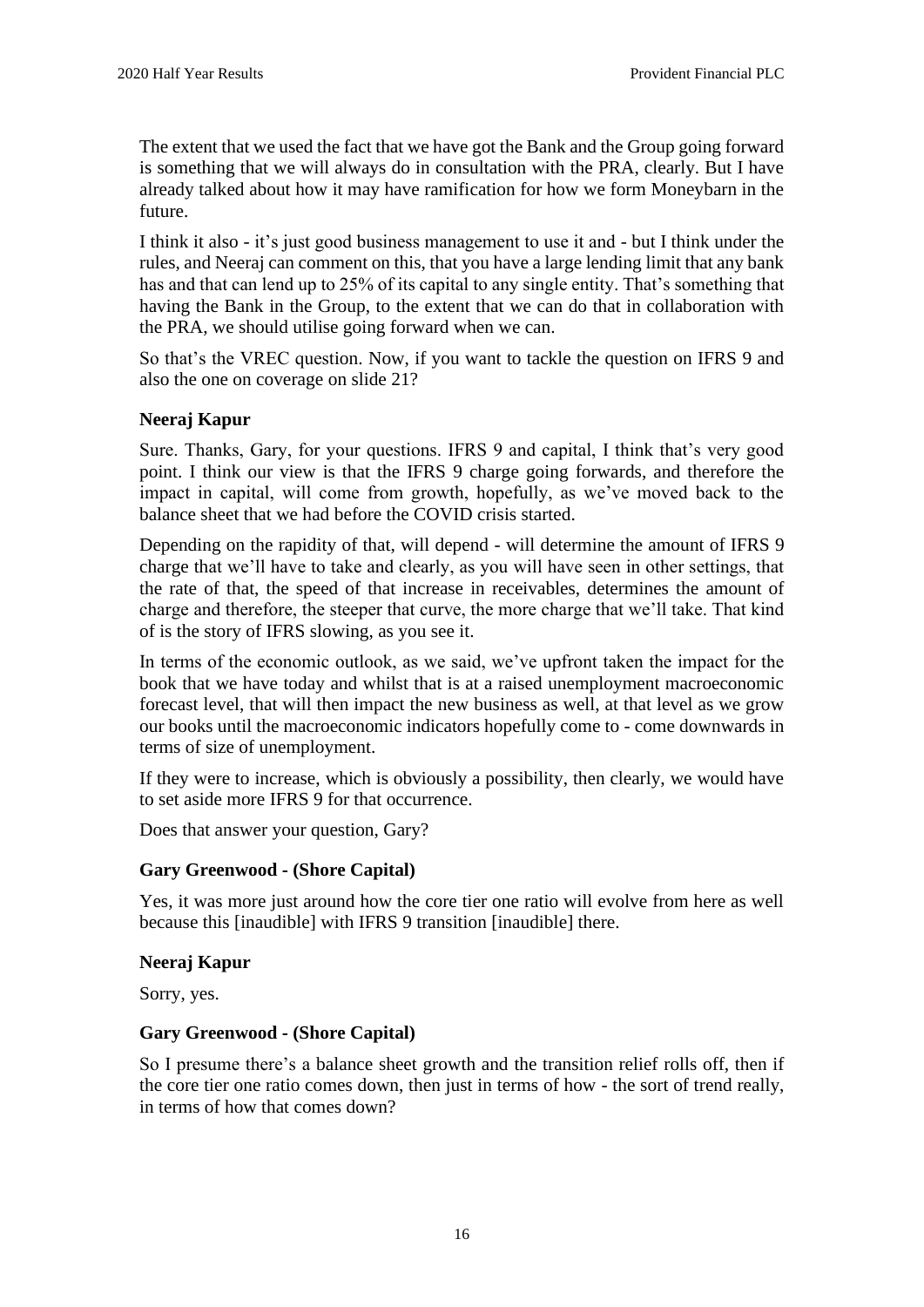The extent that we used the fact that we have got the Bank and the Group going forward is something that we will always do in consultation with the PRA, clearly. But I have already talked about how it may have ramification for how we form Moneybarn in the future.

I think it also - it's just good business management to use it and - but I think under the rules, and Neeraj can comment on this, that you have a large lending limit that any bank has and that can lend up to 25% of its capital to any single entity. That's something that having the Bank in the Group, to the extent that we can do that in collaboration with the PRA, we should utilise going forward when we can.

So that's the VREC question. Now, if you want to tackle the question on IFRS 9 and also the one on coverage on slide 21?

#### **Neeraj Kapur**

Sure. Thanks, Gary, for your questions. IFRS 9 and capital, I think that's very good point. I think our view is that the IFRS 9 charge going forwards, and therefore the impact in capital, will come from growth, hopefully, as we've moved back to the balance sheet that we had before the COVID crisis started.

Depending on the rapidity of that, will depend - will determine the amount of IFRS 9 charge that we'll have to take and clearly, as you will have seen in other settings, that the rate of that, the speed of that increase in receivables, determines the amount of charge and therefore, the steeper that curve, the more charge that we'll take. That kind of is the story of IFRS slowing, as you see it.

In terms of the economic outlook, as we said, we've upfront taken the impact for the book that we have today and whilst that is at a raised unemployment macroeconomic forecast level, that will then impact the new business as well, at that level as we grow our books until the macroeconomic indicators hopefully come to - come downwards in terms of size of unemployment.

If they were to increase, which is obviously a possibility, then clearly, we would have to set aside more IFRS 9 for that occurrence.

Does that answer your question, Gary?

#### **Gary Greenwood - (Shore Capital)**

Yes, it was more just around how the core tier one ratio will evolve from here as well because this [inaudible] with IFRS 9 transition [inaudible] there.

#### **Neeraj Kapur**

Sorry, yes.

#### **Gary Greenwood - (Shore Capital)**

So I presume there's a balance sheet growth and the transition relief rolls off, then if the core tier one ratio comes down, then just in terms of how - the sort of trend really, in terms of how that comes down?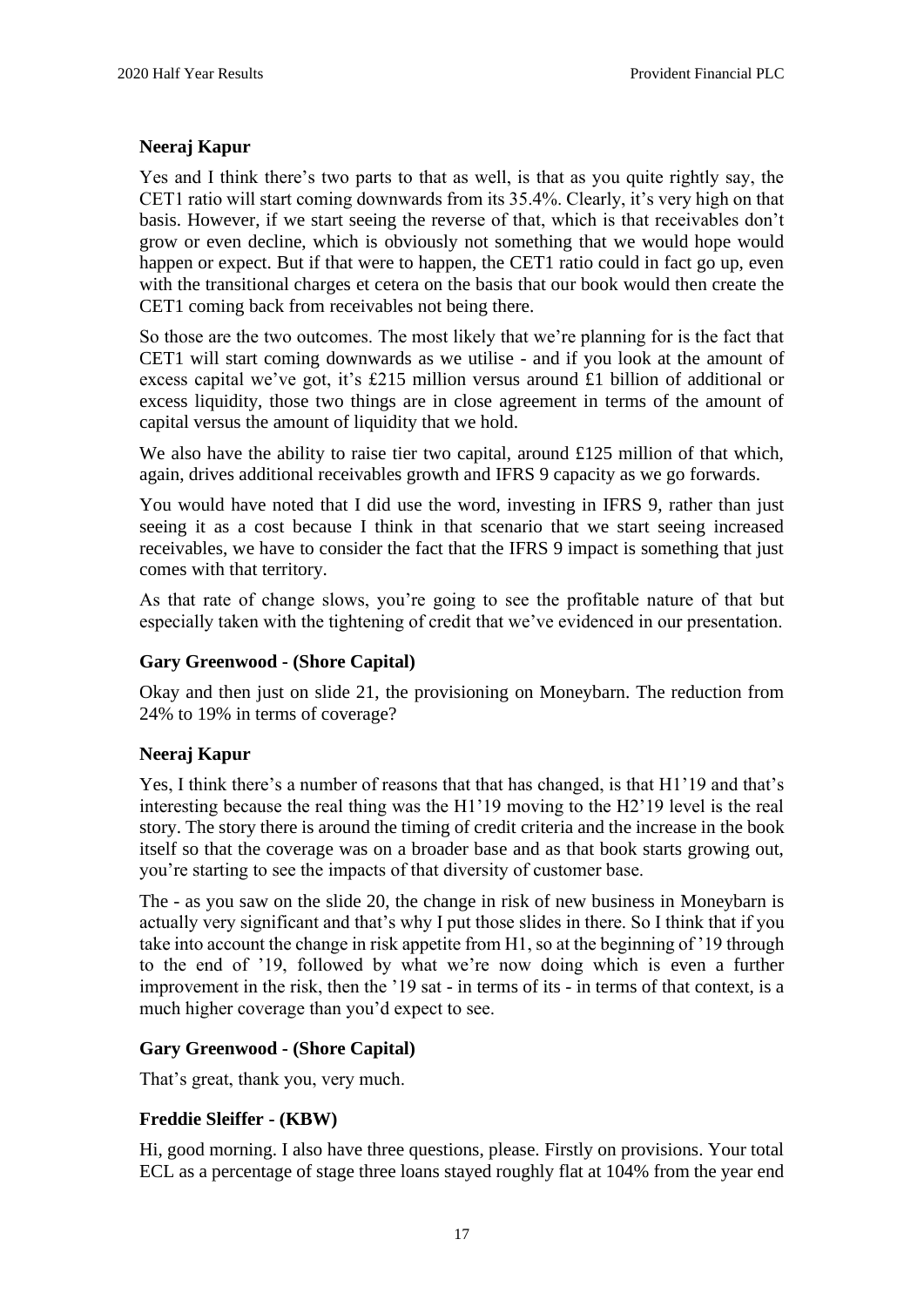#### **Neeraj Kapur**

Yes and I think there's two parts to that as well, is that as you quite rightly say, the CET1 ratio will start coming downwards from its 35.4%. Clearly, it's very high on that basis. However, if we start seeing the reverse of that, which is that receivables don't grow or even decline, which is obviously not something that we would hope would happen or expect. But if that were to happen, the CET1 ratio could in fact go up, even with the transitional charges et cetera on the basis that our book would then create the CET1 coming back from receivables not being there.

So those are the two outcomes. The most likely that we're planning for is the fact that CET1 will start coming downwards as we utilise - and if you look at the amount of excess capital we've got, it's £215 million versus around £1 billion of additional or excess liquidity, those two things are in close agreement in terms of the amount of capital versus the amount of liquidity that we hold.

We also have the ability to raise tier two capital, around £125 million of that which, again, drives additional receivables growth and IFRS 9 capacity as we go forwards.

You would have noted that I did use the word, investing in IFRS 9, rather than just seeing it as a cost because I think in that scenario that we start seeing increased receivables, we have to consider the fact that the IFRS 9 impact is something that just comes with that territory.

As that rate of change slows, you're going to see the profitable nature of that but especially taken with the tightening of credit that we've evidenced in our presentation.

#### **Gary Greenwood - (Shore Capital)**

Okay and then just on slide 21, the provisioning on Moneybarn. The reduction from 24% to 19% in terms of coverage?

#### **Neeraj Kapur**

Yes, I think there's a number of reasons that that has changed, is that H1'19 and that's interesting because the real thing was the H1'19 moving to the H2'19 level is the real story. The story there is around the timing of credit criteria and the increase in the book itself so that the coverage was on a broader base and as that book starts growing out, you're starting to see the impacts of that diversity of customer base.

The - as you saw on the slide 20, the change in risk of new business in Moneybarn is actually very significant and that's why I put those slides in there. So I think that if you take into account the change in risk appetite from H1, so at the beginning of '19 through to the end of '19, followed by what we're now doing which is even a further improvement in the risk, then the '19 sat - in terms of its - in terms of that context, is a much higher coverage than you'd expect to see.

#### **Gary Greenwood - (Shore Capital)**

That's great, thank you, very much.

# **Freddie Sleiffer - (KBW)**

Hi, good morning. I also have three questions, please. Firstly on provisions. Your total ECL as a percentage of stage three loans stayed roughly flat at 104% from the year end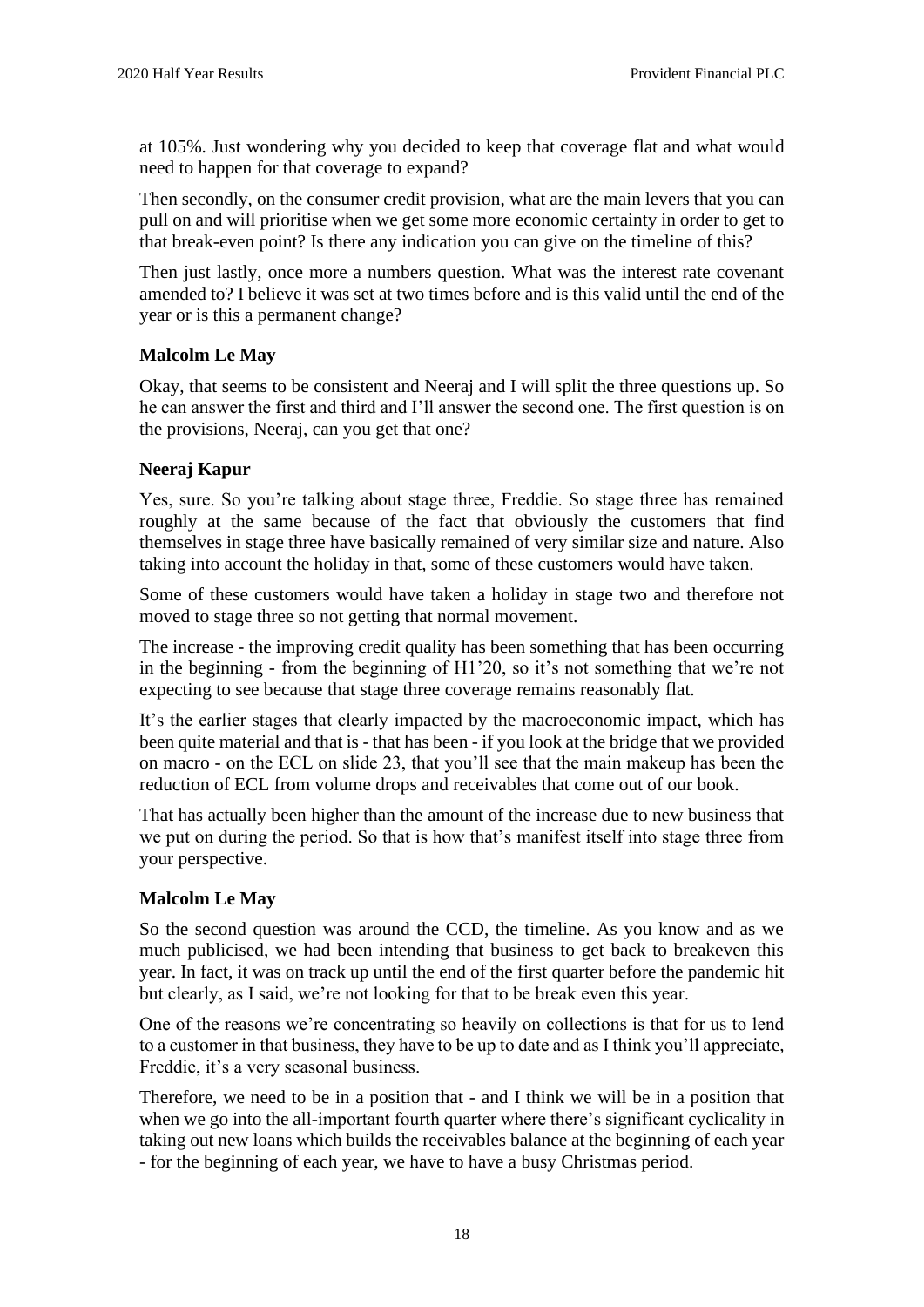at 105%. Just wondering why you decided to keep that coverage flat and what would need to happen for that coverage to expand?

Then secondly, on the consumer credit provision, what are the main levers that you can pull on and will prioritise when we get some more economic certainty in order to get to that break-even point? Is there any indication you can give on the timeline of this?

Then just lastly, once more a numbers question. What was the interest rate covenant amended to? I believe it was set at two times before and is this valid until the end of the year or is this a permanent change?

### **Malcolm Le May**

Okay, that seems to be consistent and Neeraj and I will split the three questions up. So he can answer the first and third and I'll answer the second one. The first question is on the provisions, Neeraj, can you get that one?

#### **Neeraj Kapur**

Yes, sure. So you're talking about stage three, Freddie. So stage three has remained roughly at the same because of the fact that obviously the customers that find themselves in stage three have basically remained of very similar size and nature. Also taking into account the holiday in that, some of these customers would have taken.

Some of these customers would have taken a holiday in stage two and therefore not moved to stage three so not getting that normal movement.

The increase - the improving credit quality has been something that has been occurring in the beginning - from the beginning of H1'20, so it's not something that we're not expecting to see because that stage three coverage remains reasonably flat.

It's the earlier stages that clearly impacted by the macroeconomic impact, which has been quite material and that is - that has been - if you look at the bridge that we provided on macro - on the ECL on slide 23, that you'll see that the main makeup has been the reduction of ECL from volume drops and receivables that come out of our book.

That has actually been higher than the amount of the increase due to new business that we put on during the period. So that is how that's manifest itself into stage three from your perspective.

#### **Malcolm Le May**

So the second question was around the CCD, the timeline. As you know and as we much publicised, we had been intending that business to get back to breakeven this year. In fact, it was on track up until the end of the first quarter before the pandemic hit but clearly, as I said, we're not looking for that to be break even this year.

One of the reasons we're concentrating so heavily on collections is that for us to lend to a customer in that business, they have to be up to date and as I think you'll appreciate, Freddie, it's a very seasonal business.

Therefore, we need to be in a position that - and I think we will be in a position that when we go into the all-important fourth quarter where there's significant cyclicality in taking out new loans which builds the receivables balance at the beginning of each year - for the beginning of each year, we have to have a busy Christmas period.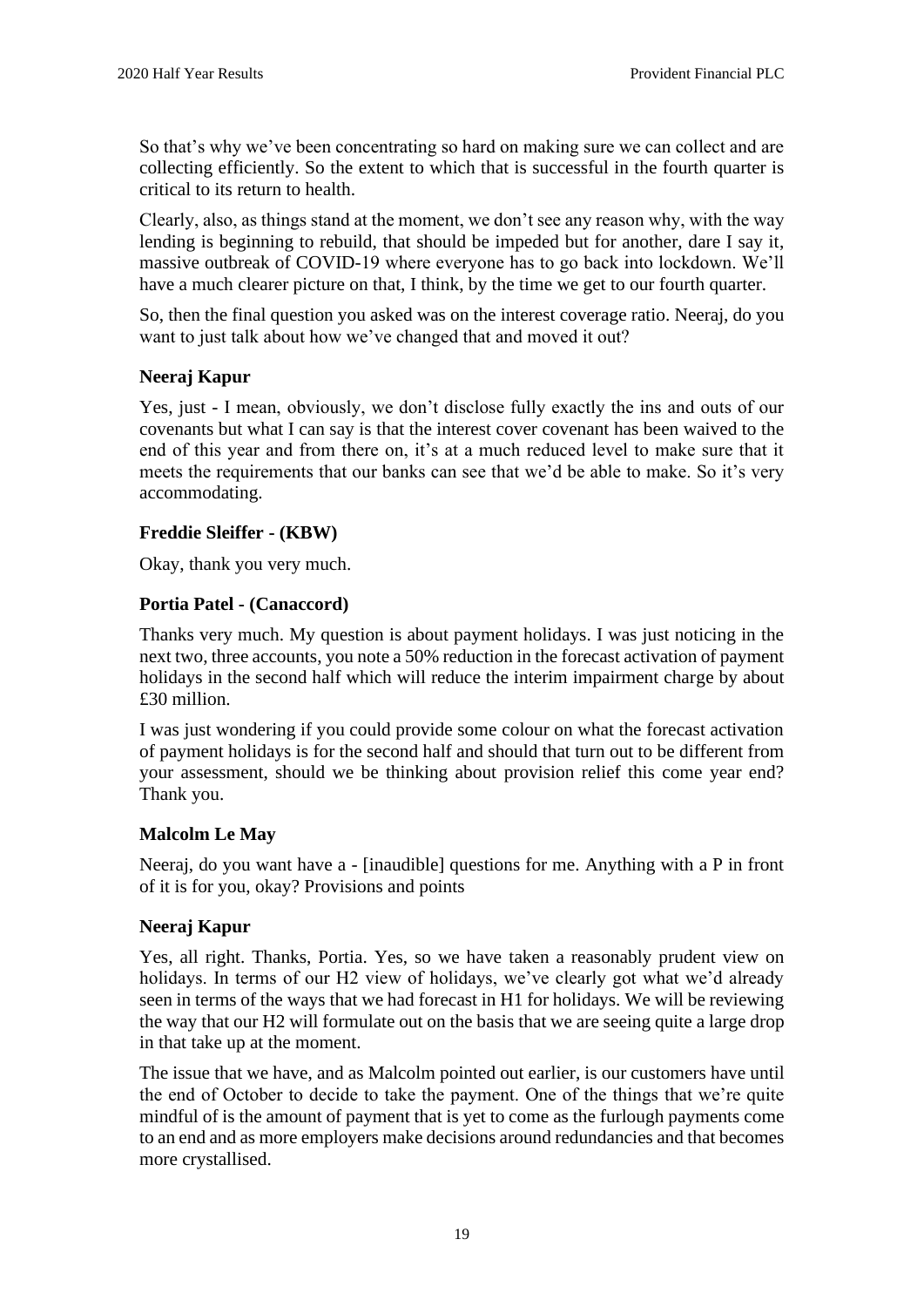So that's why we've been concentrating so hard on making sure we can collect and are collecting efficiently. So the extent to which that is successful in the fourth quarter is critical to its return to health.

Clearly, also, as things stand at the moment, we don't see any reason why, with the way lending is beginning to rebuild, that should be impeded but for another, dare I say it, massive outbreak of COVID-19 where everyone has to go back into lockdown. We'll have a much clearer picture on that, I think, by the time we get to our fourth quarter.

So, then the final question you asked was on the interest coverage ratio. Neeraj, do you want to just talk about how we've changed that and moved it out?

#### **Neeraj Kapur**

Yes, just - I mean, obviously, we don't disclose fully exactly the ins and outs of our covenants but what I can say is that the interest cover covenant has been waived to the end of this year and from there on, it's at a much reduced level to make sure that it meets the requirements that our banks can see that we'd be able to make. So it's very accommodating.

#### **Freddie Sleiffer - (KBW)**

Okay, thank you very much.

#### **Portia Patel - (Canaccord)**

Thanks very much. My question is about payment holidays. I was just noticing in the next two, three accounts, you note a 50% reduction in the forecast activation of payment holidays in the second half which will reduce the interim impairment charge by about £30 million.

I was just wondering if you could provide some colour on what the forecast activation of payment holidays is for the second half and should that turn out to be different from your assessment, should we be thinking about provision relief this come year end? Thank you.

#### **Malcolm Le May**

Neeraj, do you want have a - [inaudible] questions for me. Anything with a P in front of it is for you, okay? Provisions and points

#### **Neeraj Kapur**

Yes, all right. Thanks, Portia. Yes, so we have taken a reasonably prudent view on holidays. In terms of our H2 view of holidays, we've clearly got what we'd already seen in terms of the ways that we had forecast in H1 for holidays. We will be reviewing the way that our H2 will formulate out on the basis that we are seeing quite a large drop in that take up at the moment.

The issue that we have, and as Malcolm pointed out earlier, is our customers have until the end of October to decide to take the payment. One of the things that we're quite mindful of is the amount of payment that is yet to come as the furlough payments come to an end and as more employers make decisions around redundancies and that becomes more crystallised.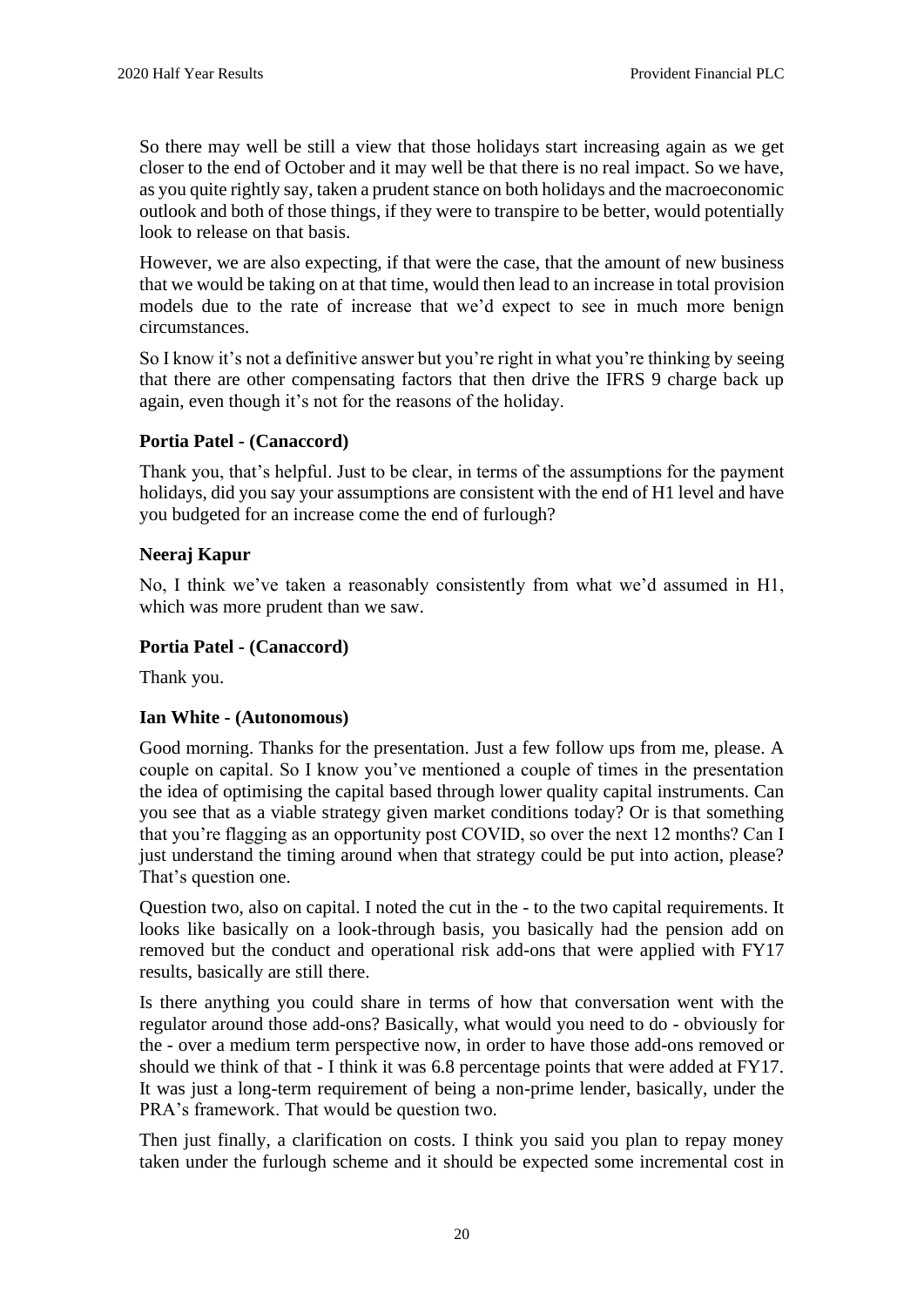So there may well be still a view that those holidays start increasing again as we get closer to the end of October and it may well be that there is no real impact. So we have, as you quite rightly say, taken a prudent stance on both holidays and the macroeconomic outlook and both of those things, if they were to transpire to be better, would potentially look to release on that basis.

However, we are also expecting, if that were the case, that the amount of new business that we would be taking on at that time, would then lead to an increase in total provision models due to the rate of increase that we'd expect to see in much more benign circumstances.

So I know it's not a definitive answer but you're right in what you're thinking by seeing that there are other compensating factors that then drive the IFRS 9 charge back up again, even though it's not for the reasons of the holiday.

### **Portia Patel - (Canaccord)**

Thank you, that's helpful. Just to be clear, in terms of the assumptions for the payment holidays, did you say your assumptions are consistent with the end of H1 level and have you budgeted for an increase come the end of furlough?

### **Neeraj Kapur**

No, I think we've taken a reasonably consistently from what we'd assumed in H1, which was more prudent than we saw.

### **Portia Patel - (Canaccord)**

Thank you.

#### **Ian White - (Autonomous)**

Good morning. Thanks for the presentation. Just a few follow ups from me, please. A couple on capital. So I know you've mentioned a couple of times in the presentation the idea of optimising the capital based through lower quality capital instruments. Can you see that as a viable strategy given market conditions today? Or is that something that you're flagging as an opportunity post COVID, so over the next 12 months? Can I just understand the timing around when that strategy could be put into action, please? That's question one.

Question two, also on capital. I noted the cut in the - to the two capital requirements. It looks like basically on a look-through basis, you basically had the pension add on removed but the conduct and operational risk add-ons that were applied with FY17 results, basically are still there.

Is there anything you could share in terms of how that conversation went with the regulator around those add-ons? Basically, what would you need to do - obviously for the - over a medium term perspective now, in order to have those add-ons removed or should we think of that - I think it was 6.8 percentage points that were added at FY17. It was just a long-term requirement of being a non-prime lender, basically, under the PRA's framework. That would be question two.

Then just finally, a clarification on costs. I think you said you plan to repay money taken under the furlough scheme and it should be expected some incremental cost in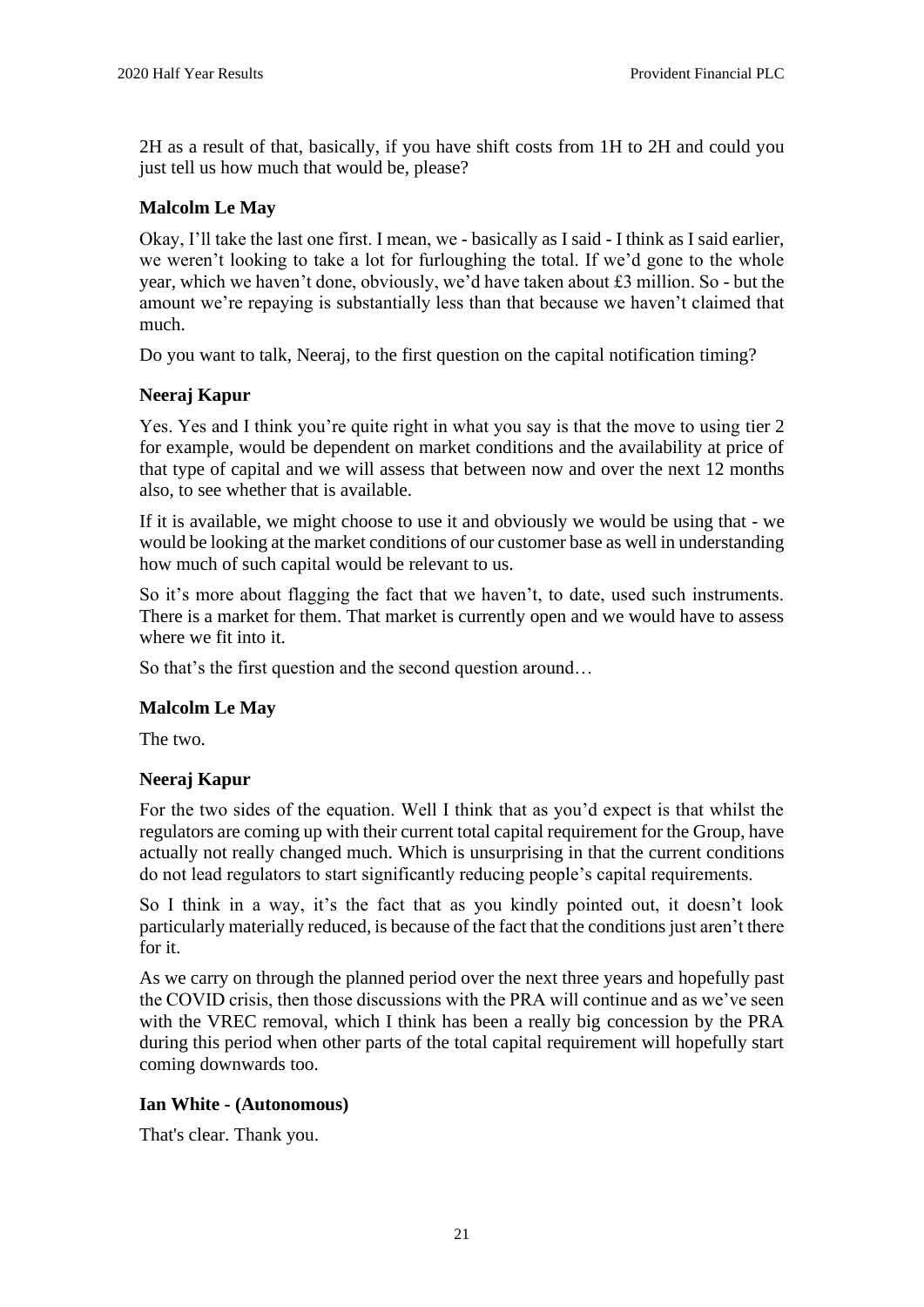2H as a result of that, basically, if you have shift costs from 1H to 2H and could you just tell us how much that would be, please?

# **Malcolm Le May**

Okay, I'll take the last one first. I mean, we - basically as I said - I think as I said earlier, we weren't looking to take a lot for furloughing the total. If we'd gone to the whole year, which we haven't done, obviously, we'd have taken about £3 million. So - but the amount we're repaying is substantially less than that because we haven't claimed that much.

Do you want to talk, Neeraj, to the first question on the capital notification timing?

# **Neeraj Kapur**

Yes. Yes and I think you're quite right in what you say is that the move to using tier 2 for example, would be dependent on market conditions and the availability at price of that type of capital and we will assess that between now and over the next 12 months also, to see whether that is available.

If it is available, we might choose to use it and obviously we would be using that - we would be looking at the market conditions of our customer base as well in understanding how much of such capital would be relevant to us.

So it's more about flagging the fact that we haven't, to date, used such instruments. There is a market for them. That market is currently open and we would have to assess where we fit into it.

So that's the first question and the second question around…

# **Malcolm Le May**

The two.

#### **Neeraj Kapur**

For the two sides of the equation. Well I think that as you'd expect is that whilst the regulators are coming up with their current total capital requirement for the Group, have actually not really changed much. Which is unsurprising in that the current conditions do not lead regulators to start significantly reducing people's capital requirements.

So I think in a way, it's the fact that as you kindly pointed out, it doesn't look particularly materially reduced, is because of the fact that the conditions just aren't there for it.

As we carry on through the planned period over the next three years and hopefully past the COVID crisis, then those discussions with the PRA will continue and as we've seen with the VREC removal, which I think has been a really big concession by the PRA during this period when other parts of the total capital requirement will hopefully start coming downwards too.

#### **Ian White - (Autonomous)**

That's clear. Thank you.